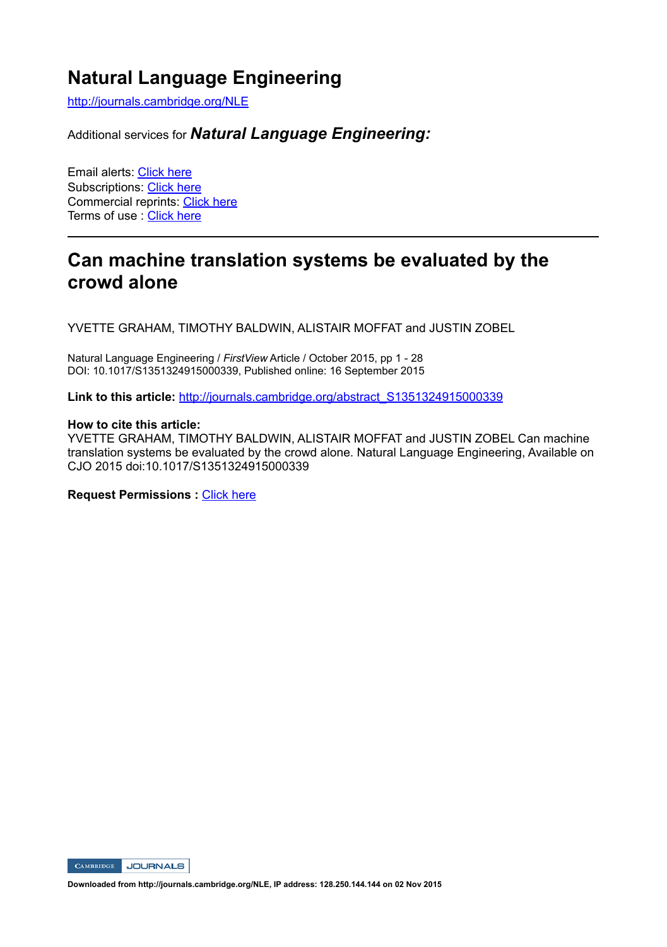## **Natural Language Engineering**

http://journals.cambridge.org/NLE

Additional services for *Natural Language Engineering:*

Email alerts: Click here Subscriptions: Click here Commercial reprints: Click here Terms of use : Click here

## **Can machine translation systems be evaluated by the crowd alone**

YVETTE GRAHAM, TIMOTHY BALDWIN, ALISTAIR MOFFAT and JUSTIN ZOBEL

Natural Language Engineering / *FirstView* Article / October 2015, pp 1 - 28 DOI: 10.1017/S1351324915000339, Published online: 16 September 2015

**Link to this article:** http://journals.cambridge.org/abstract\_S1351324915000339

#### **How to cite this article:**

YVETTE GRAHAM, TIMOTHY BALDWIN, ALISTAIR MOFFAT and JUSTIN ZOBEL Can machine translation systems be evaluated by the crowd alone. Natural Language Engineering, Available on CJO 2015 doi:10.1017/S1351324915000339

**Request Permissions :** Click here

**CAMBRIDGE** JOURNALS

**Downloaded from http://journals.cambridge.org/NLE, IP address: 128.250.144.144 on 02 Nov 2015**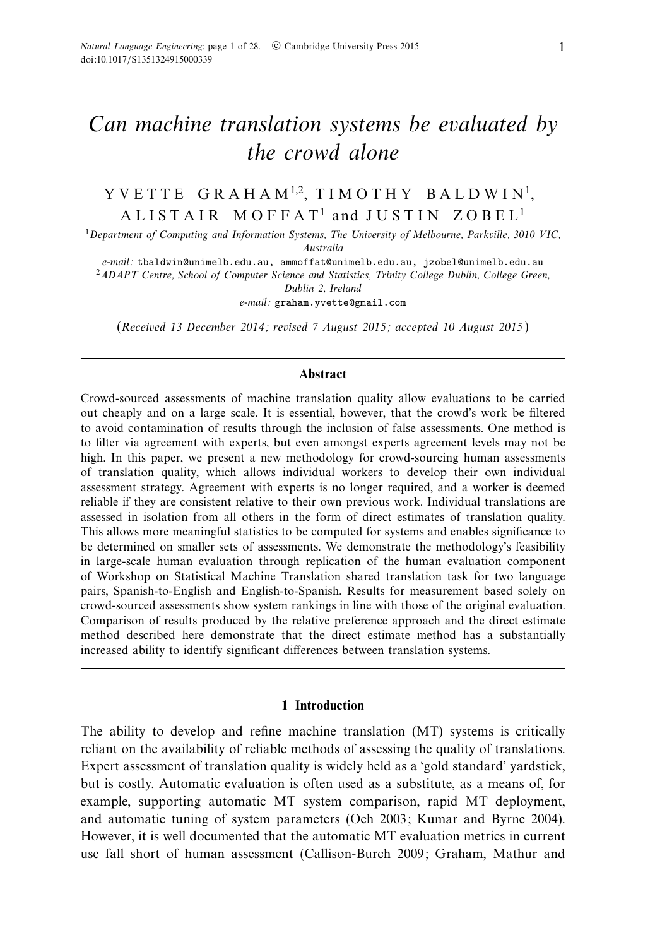## Can machine translation systems be evaluated by the crowd alone

### YVETTE GRAHAM<sup>1,2</sup>, TIMOTHY BALDWIN<sup>1</sup>, ALISTAIR MOFFAT<sup>1</sup> and JUSTIN ZOBEL<sup>1</sup>

 $1$ Department of Computing and Information Systems, The University of Melbourne, Parkville, 3010 VIC, Australia

e-mail: tbaldwin@unimelb.edu.au, ammoffat@unimelb.edu.au, jzobel@unimelb.edu.au

<sup>2</sup>ADAPT Centre, School of Computer Science and Statistics, Trinity College Dublin, College Green,

Dublin 2, Ireland

e-mail: graham.yvette@gmail.com

(Received 13 December 2014; revised 7 August 2015; accepted 10 August 2015 )

#### **Abstract**

Crowd-sourced assessments of machine translation quality allow evaluations to be carried out cheaply and on a large scale. It is essential, however, that the crowd's work be filtered to avoid contamination of results through the inclusion of false assessments. One method is to filter via agreement with experts, but even amongst experts agreement levels may not be high. In this paper, we present a new methodology for crowd-sourcing human assessments of translation quality, which allows individual workers to develop their own individual assessment strategy. Agreement with experts is no longer required, and a worker is deemed reliable if they are consistent relative to their own previous work. Individual translations are assessed in isolation from all others in the form of direct estimates of translation quality. This allows more meaningful statistics to be computed for systems and enables significance to be determined on smaller sets of assessments. We demonstrate the methodology's feasibility in large-scale human evaluation through replication of the human evaluation component of Workshop on Statistical Machine Translation shared translation task for two language pairs, Spanish-to-English and English-to-Spanish. Results for measurement based solely on crowd-sourced assessments show system rankings in line with those of the original evaluation. Comparison of results produced by the relative preference approach and the direct estimate method described here demonstrate that the direct estimate method has a substantially increased ability to identify significant differences between translation systems.

#### **1 Introduction**

The ability to develop and refine machine translation (MT) systems is critically reliant on the availability of reliable methods of assessing the quality of translations. Expert assessment of translation quality is widely held as a 'gold standard' yardstick, but is costly. Automatic evaluation is often used as a substitute, as a means of, for example, supporting automatic MT system comparison, rapid MT deployment, and automatic tuning of system parameters (Och 2003; Kumar and Byrne 2004). However, it is well documented that the automatic MT evaluation metrics in current use fall short of human assessment (Callison-Burch 2009; Graham, Mathur and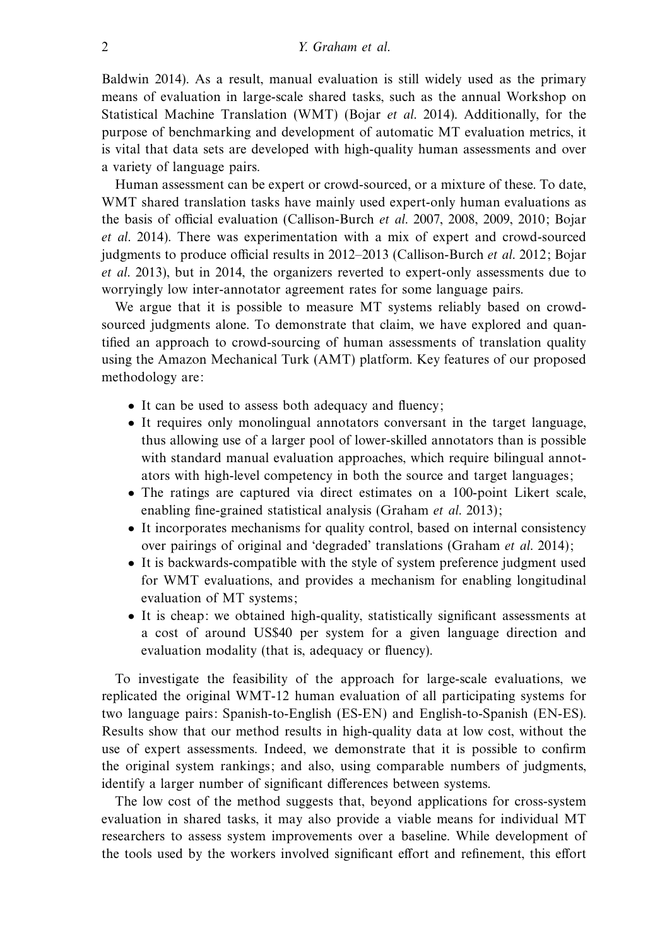Baldwin 2014). As a result, manual evaluation is still widely used as the primary means of evaluation in large-scale shared tasks, such as the annual Workshop on Statistical Machine Translation (WMT) (Bojar et al. 2014). Additionally, for the purpose of benchmarking and development of automatic MT evaluation metrics, it is vital that data sets are developed with high-quality human assessments and over a variety of language pairs.

Human assessment can be expert or crowd-sourced, or a mixture of these. To date, WMT shared translation tasks have mainly used expert-only human evaluations as the basis of official evaluation (Callison-Burch et al. 2007, 2008, 2009, 2010; Bojar et al. 2014). There was experimentation with a mix of expert and crowd-sourced judgments to produce official results in 2012–2013 (Callison-Burch et al. 2012; Bojar et al. 2013), but in 2014, the organizers reverted to expert-only assessments due to worryingly low inter-annotator agreement rates for some language pairs.

We argue that it is possible to measure MT systems reliably based on crowdsourced judgments alone. To demonstrate that claim, we have explored and quantified an approach to crowd-sourcing of human assessments of translation quality using the Amazon Mechanical Turk (AMT) platform. Key features of our proposed methodology are:

- It can be used to assess both adequacy and fluency;
- It requires only monolingual annotators conversant in the target language, thus allowing use of a larger pool of lower-skilled annotators than is possible with standard manual evaluation approaches, which require bilingual annotators with high-level competency in both the source and target languages;
- The ratings are captured via direct estimates on a 100-point Likert scale, enabling fine-grained statistical analysis (Graham *et al.* 2013);
- It incorporates mechanisms for quality control, based on internal consistency over pairings of original and 'degraded' translations (Graham et al. 2014);
- It is backwards-compatible with the style of system preference judgment used for WMT evaluations, and provides a mechanism for enabling longitudinal evaluation of MT systems;
- It is cheap: we obtained high-quality, statistically significant assessments at a cost of around US\$40 per system for a given language direction and evaluation modality (that is, adequacy or fluency).

To investigate the feasibility of the approach for large-scale evaluations, we replicated the original WMT-12 human evaluation of all participating systems for two language pairs: Spanish-to-English (ES-EN) and English-to-Spanish (EN-ES). Results show that our method results in high-quality data at low cost, without the use of expert assessments. Indeed, we demonstrate that it is possible to confirm the original system rankings; and also, using comparable numbers of judgments, identify a larger number of significant differences between systems.

The low cost of the method suggests that, beyond applications for cross-system evaluation in shared tasks, it may also provide a viable means for individual MT researchers to assess system improvements over a baseline. While development of the tools used by the workers involved significant effort and refinement, this effort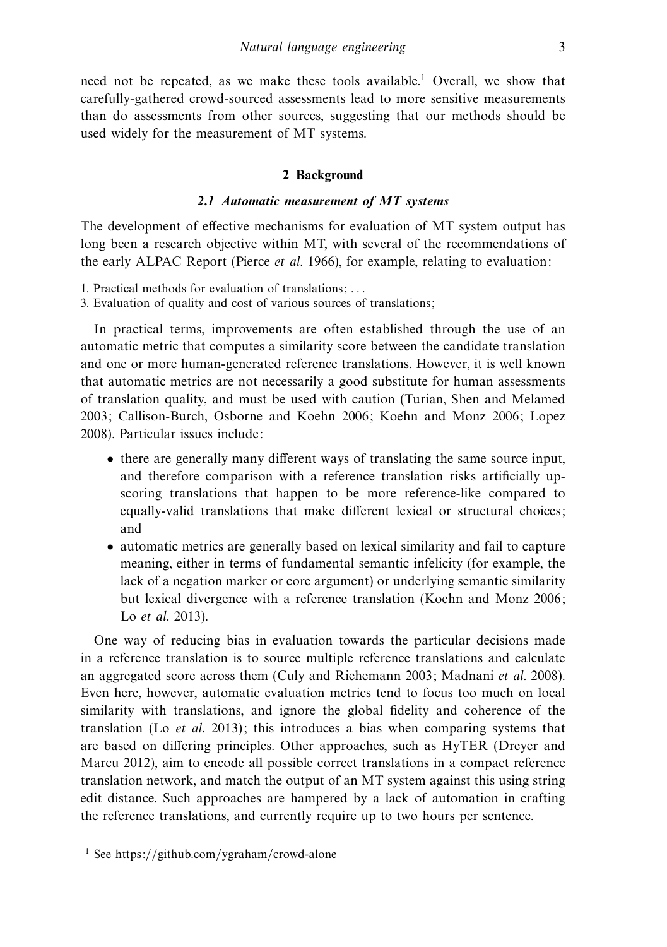need not be repeated, as we make these tools available.<sup>1</sup> Overall, we show that carefully-gathered crowd-sourced assessments lead to more sensitive measurements than do assessments from other sources, suggesting that our methods should be used widely for the measurement of MT systems.

#### **2 Background**

#### *2.1 Automatic measurement of MT systems*

The development of effective mechanisms for evaluation of MT system output has long been a research objective within MT, with several of the recommendations of the early ALPAC Report (Pierce et al. 1966), for example, relating to evaluation:

- 1. Practical methods for evaluation of translations; . . .
- 3. Evaluation of quality and cost of various sources of translations;

In practical terms, improvements are often established through the use of an automatic metric that computes a similarity score between the candidate translation and one or more human-generated reference translations. However, it is well known that automatic metrics are not necessarily a good substitute for human assessments of translation quality, and must be used with caution (Turian, Shen and Melamed 2003; Callison-Burch, Osborne and Koehn 2006; Koehn and Monz 2006; Lopez 2008). Particular issues include:

- there are generally many different ways of translating the same source input, and therefore comparison with a reference translation risks artificially upscoring translations that happen to be more reference-like compared to equally-valid translations that make different lexical or structural choices; and
- automatic metrics are generally based on lexical similarity and fail to capture meaning, either in terms of fundamental semantic infelicity (for example, the lack of a negation marker or core argument) or underlying semantic similarity but lexical divergence with a reference translation (Koehn and Monz 2006; Lo et al. 2013).

One way of reducing bias in evaluation towards the particular decisions made in a reference translation is to source multiple reference translations and calculate an aggregated score across them (Culy and Riehemann 2003; Madnani et al. 2008). Even here, however, automatic evaluation metrics tend to focus too much on local similarity with translations, and ignore the global fidelity and coherence of the translation (Lo et al. 2013); this introduces a bias when comparing systems that are based on differing principles. Other approaches, such as HyTER (Dreyer and Marcu 2012), aim to encode all possible correct translations in a compact reference translation network, and match the output of an MT system against this using string edit distance. Such approaches are hampered by a lack of automation in crafting the reference translations, and currently require up to two hours per sentence.

<sup>&</sup>lt;sup>1</sup> See https://github.com/ygraham/crowd-alone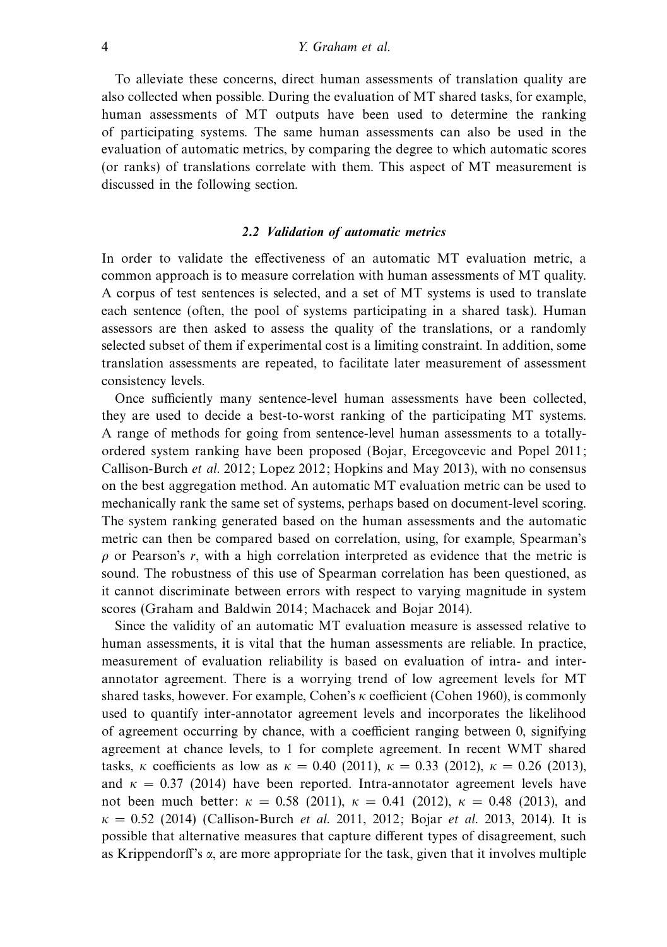To alleviate these concerns, direct human assessments of translation quality are also collected when possible. During the evaluation of MT shared tasks, for example, human assessments of MT outputs have been used to determine the ranking of participating systems. The same human assessments can also be used in the evaluation of automatic metrics, by comparing the degree to which automatic scores (or ranks) of translations correlate with them. This aspect of MT measurement is discussed in the following section.

#### *2.2 Validation of automatic metrics*

In order to validate the effectiveness of an automatic MT evaluation metric, a common approach is to measure correlation with human assessments of MT quality. A corpus of test sentences is selected, and a set of MT systems is used to translate each sentence (often, the pool of systems participating in a shared task). Human assessors are then asked to assess the quality of the translations, or a randomly selected subset of them if experimental cost is a limiting constraint. In addition, some translation assessments are repeated, to facilitate later measurement of assessment consistency levels.

Once sufficiently many sentence-level human assessments have been collected, they are used to decide a best-to-worst ranking of the participating MT systems. A range of methods for going from sentence-level human assessments to a totallyordered system ranking have been proposed (Bojar, Ercegovcevic and Popel 2011; Callison-Burch et al. 2012; Lopez 2012; Hopkins and May 2013), with no consensus on the best aggregation method. An automatic MT evaluation metric can be used to mechanically rank the same set of systems, perhaps based on document-level scoring. The system ranking generated based on the human assessments and the automatic metric can then be compared based on correlation, using, for example, Spearman's *ρ* or Pearson's *r*, with a high correlation interpreted as evidence that the metric is sound. The robustness of this use of Spearman correlation has been questioned, as it cannot discriminate between errors with respect to varying magnitude in system scores (Graham and Baldwin 2014; Machacek and Bojar 2014).

Since the validity of an automatic MT evaluation measure is assessed relative to human assessments, it is vital that the human assessments are reliable. In practice, measurement of evaluation reliability is based on evaluation of intra- and interannotator agreement. There is a worrying trend of low agreement levels for MT shared tasks, however. For example, Cohen's *κ* coefficient (Cohen 1960), is commonly used to quantify inter-annotator agreement levels and incorporates the likelihood of agreement occurring by chance, with a coefficient ranging between 0, signifying agreement at chance levels, to 1 for complete agreement. In recent WMT shared tasks, *κ* coefficients as low as  $\kappa = 0.40$  (2011),  $\kappa = 0.33$  (2012),  $\kappa = 0.26$  (2013), and  $\kappa = 0.37$  (2014) have been reported. Intra-annotator agreement levels have not been much better:  $\kappa = 0.58$  (2011),  $\kappa = 0.41$  (2012),  $\kappa = 0.48$  (2013), and  $\kappa = 0.52$  (2014) (Callison-Burch *et al.* 2011, 2012; Bojar *et al.* 2013, 2014). It is possible that alternative measures that capture different types of disagreement, such as Krippendorff's *α*, are more appropriate for the task, given that it involves multiple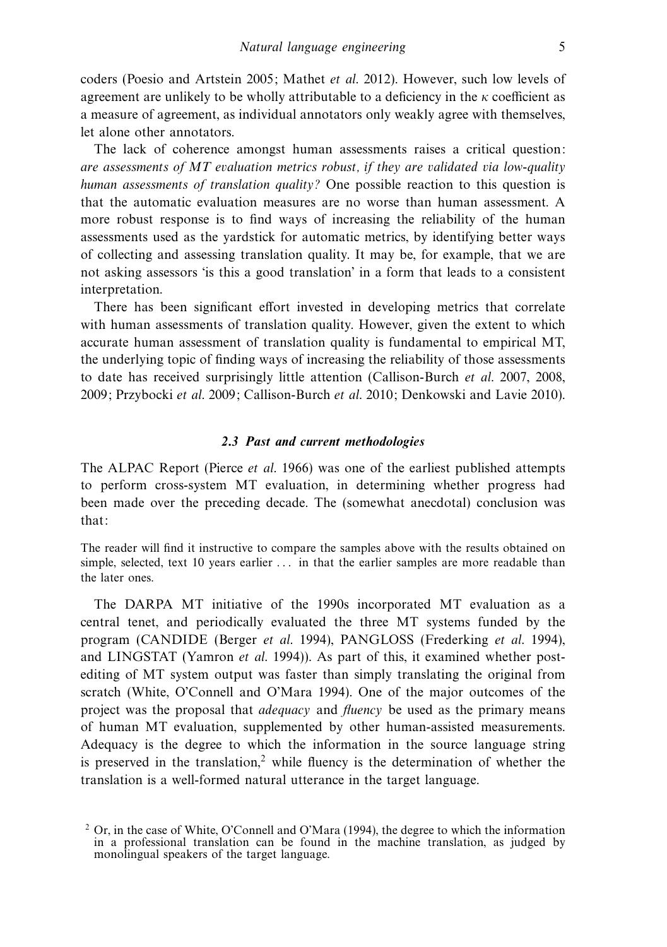coders (Poesio and Artstein 2005; Mathet et al. 2012). However, such low levels of agreement are unlikely to be wholly attributable to a deficiency in the  $\kappa$  coefficient as a measure of agreement, as individual annotators only weakly agree with themselves, let alone other annotators.

The lack of coherence amongst human assessments raises a critical question: are assessments of  $MT$  evaluation metrics robust, if they are validated via low-quality human assessments of translation quality? One possible reaction to this question is that the automatic evaluation measures are no worse than human assessment. A more robust response is to find ways of increasing the reliability of the human assessments used as the yardstick for automatic metrics, by identifying better ways of collecting and assessing translation quality. It may be, for example, that we are not asking assessors 'is this a good translation' in a form that leads to a consistent interpretation.

There has been significant effort invested in developing metrics that correlate with human assessments of translation quality. However, given the extent to which accurate human assessment of translation quality is fundamental to empirical MT, the underlying topic of finding ways of increasing the reliability of those assessments to date has received surprisingly little attention (Callison-Burch et al. 2007, 2008, 2009; Przybocki et al. 2009; Callison-Burch et al. 2010; Denkowski and Lavie 2010).

#### *2.3 Past and current methodologies*

The ALPAC Report (Pierce *et al.* 1966) was one of the earliest published attempts to perform cross-system MT evaluation, in determining whether progress had been made over the preceding decade. The (somewhat anecdotal) conclusion was that:

The reader will find it instructive to compare the samples above with the results obtained on simple, selected, text 10 years earlier ... in that the earlier samples are more readable than the later ones.

The DARPA MT initiative of the 1990s incorporated MT evaluation as a central tenet, and periodically evaluated the three MT systems funded by the program (CANDIDE (Berger et al. 1994), PANGLOSS (Frederking et al. 1994), and LINGSTAT (Yamron et al. 1994)). As part of this, it examined whether postediting of MT system output was faster than simply translating the original from scratch (White, O'Connell and O'Mara 1994). One of the major outcomes of the project was the proposal that adequacy and fluency be used as the primary means of human MT evaluation, supplemented by other human-assisted measurements. Adequacy is the degree to which the information in the source language string is preserved in the translation,<sup>2</sup> while fluency is the determination of whether the translation is a well-formed natural utterance in the target language.

<sup>2</sup> Or, in the case of White, O'Connell and O'Mara (1994), the degree to which the information in a professional translation can be found in the machine translation, as judged by monolingual speakers of the target language.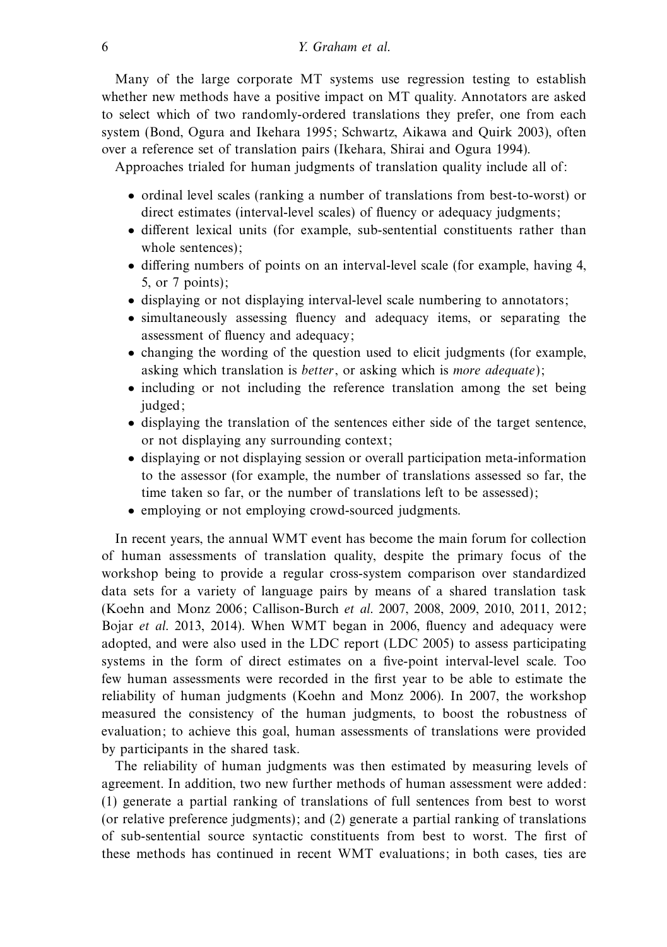Many of the large corporate MT systems use regression testing to establish whether new methods have a positive impact on MT quality. Annotators are asked to select which of two randomly-ordered translations they prefer, one from each system (Bond, Ogura and Ikehara 1995; Schwartz, Aikawa and Quirk 2003), often over a reference set of translation pairs (Ikehara, Shirai and Ogura 1994).

Approaches trialed for human judgments of translation quality include all of:

- ordinal level scales (ranking a number of translations from best-to-worst) or direct estimates (interval-level scales) of fluency or adequacy judgments;
- different lexical units (for example, sub-sentential constituents rather than whole sentences);
- differing numbers of points on an interval-level scale (for example, having 4, 5, or 7 points);
- displaying or not displaying interval-level scale numbering to annotators;
- simultaneously assessing fluency and adequacy items, or separating the assessment of fluency and adequacy;
- changing the wording of the question used to elicit judgments (for example, asking which translation is better, or asking which is more adequate);
- including or not including the reference translation among the set being judged;
- displaying the translation of the sentences either side of the target sentence, or not displaying any surrounding context;
- displaying or not displaying session or overall participation meta-information to the assessor (for example, the number of translations assessed so far, the time taken so far, or the number of translations left to be assessed);
- employing or not employing crowd-sourced judgments.

In recent years, the annual WMT event has become the main forum for collection of human assessments of translation quality, despite the primary focus of the workshop being to provide a regular cross-system comparison over standardized data sets for a variety of language pairs by means of a shared translation task (Koehn and Monz 2006; Callison-Burch et al. 2007, 2008, 2009, 2010, 2011, 2012; Bojar et al. 2013, 2014). When WMT began in 2006, fluency and adequacy were adopted, and were also used in the LDC report (LDC 2005) to assess participating systems in the form of direct estimates on a five-point interval-level scale. Too few human assessments were recorded in the first year to be able to estimate the reliability of human judgments (Koehn and Monz 2006). In 2007, the workshop measured the consistency of the human judgments, to boost the robustness of evaluation; to achieve this goal, human assessments of translations were provided by participants in the shared task.

The reliability of human judgments was then estimated by measuring levels of agreement. In addition, two new further methods of human assessment were added: (1) generate a partial ranking of translations of full sentences from best to worst (or relative preference judgments); and (2) generate a partial ranking of translations of sub-sentential source syntactic constituents from best to worst. The first of these methods has continued in recent WMT evaluations; in both cases, ties are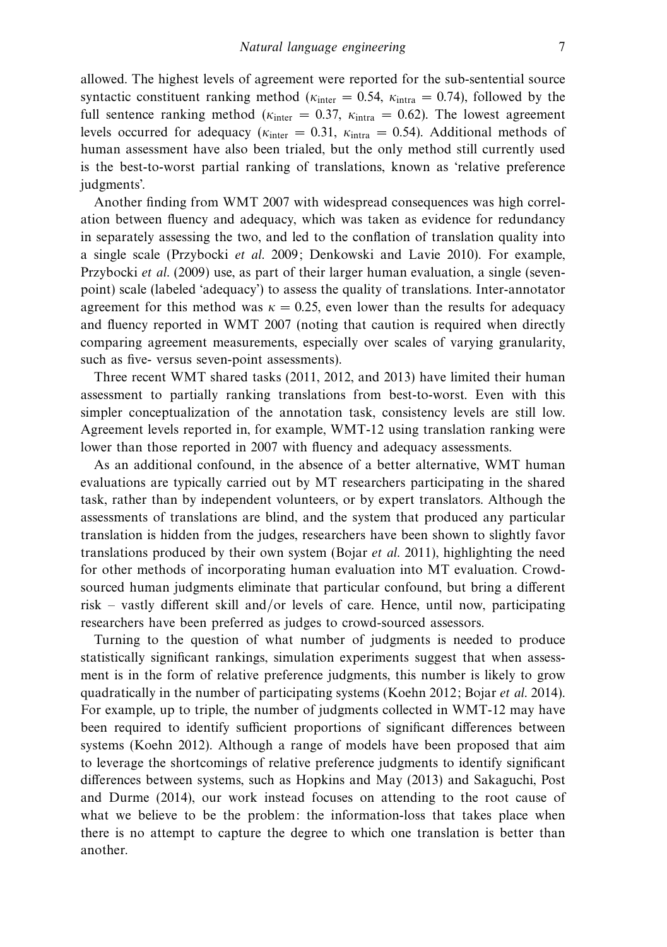allowed. The highest levels of agreement were reported for the sub-sentential source syntactic constituent ranking method ( $\kappa_{\text{inter}} = 0.54$ ,  $\kappa_{\text{intra}} = 0.74$ ), followed by the full sentence ranking method ( $\kappa_{\text{inter}} = 0.37$ ,  $\kappa_{\text{intra}} = 0.62$ ). The lowest agreement levels occurred for adequacy ( $\kappa_{\text{inter}} = 0.31$ ,  $\kappa_{\text{intra}} = 0.54$ ). Additional methods of human assessment have also been trialed, but the only method still currently used is the best-to-worst partial ranking of translations, known as 'relative preference judgments'.

Another finding from WMT 2007 with widespread consequences was high correlation between fluency and adequacy, which was taken as evidence for redundancy in separately assessing the two, and led to the conflation of translation quality into a single scale (Przybocki et al. 2009; Denkowski and Lavie 2010). For example, Przybocki *et al.* (2009) use, as part of their larger human evaluation, a single (sevenpoint) scale (labeled 'adequacy') to assess the quality of translations. Inter-annotator agreement for this method was  $\kappa = 0.25$ , even lower than the results for adequacy and fluency reported in WMT 2007 (noting that caution is required when directly comparing agreement measurements, especially over scales of varying granularity, such as five- versus seven-point assessments).

Three recent WMT shared tasks (2011, 2012, and 2013) have limited their human assessment to partially ranking translations from best-to-worst. Even with this simpler conceptualization of the annotation task, consistency levels are still low. Agreement levels reported in, for example, WMT-12 using translation ranking were lower than those reported in 2007 with fluency and adequacy assessments.

As an additional confound, in the absence of a better alternative, WMT human evaluations are typically carried out by MT researchers participating in the shared task, rather than by independent volunteers, or by expert translators. Although the assessments of translations are blind, and the system that produced any particular translation is hidden from the judges, researchers have been shown to slightly favor translations produced by their own system (Bojar et al. 2011), highlighting the need for other methods of incorporating human evaluation into MT evaluation. Crowdsourced human judgments eliminate that particular confound, but bring a different risk – vastly different skill and/or levels of care. Hence, until now, participating researchers have been preferred as judges to crowd-sourced assessors.

Turning to the question of what number of judgments is needed to produce statistically significant rankings, simulation experiments suggest that when assessment is in the form of relative preference judgments, this number is likely to grow quadratically in the number of participating systems (Koehn 2012; Bojar et al. 2014). For example, up to triple, the number of judgments collected in WMT-12 may have been required to identify sufficient proportions of significant differences between systems (Koehn 2012). Although a range of models have been proposed that aim to leverage the shortcomings of relative preference judgments to identify significant differences between systems, such as Hopkins and May (2013) and Sakaguchi, Post and Durme (2014), our work instead focuses on attending to the root cause of what we believe to be the problem: the information-loss that takes place when there is no attempt to capture the degree to which one translation is better than another.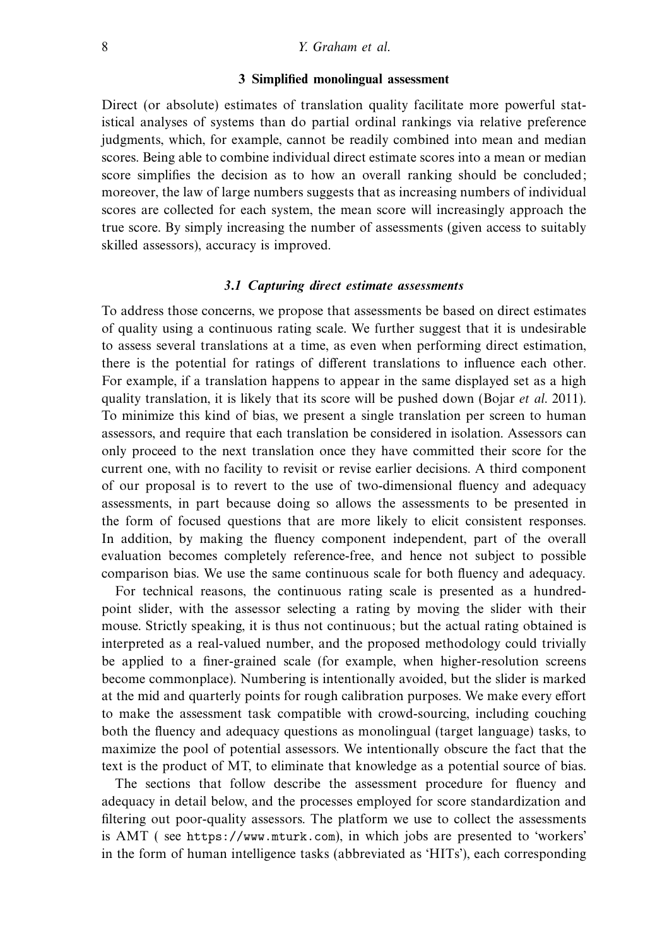#### **3 Simplified monolingual assessment**

Direct (or absolute) estimates of translation quality facilitate more powerful statistical analyses of systems than do partial ordinal rankings via relative preference judgments, which, for example, cannot be readily combined into mean and median scores. Being able to combine individual direct estimate scores into a mean or median score simplifies the decision as to how an overall ranking should be concluded; moreover, the law of large numbers suggests that as increasing numbers of individual scores are collected for each system, the mean score will increasingly approach the true score. By simply increasing the number of assessments (given access to suitably skilled assessors), accuracy is improved.

#### *3.1 Capturing direct estimate assessments*

To address those concerns, we propose that assessments be based on direct estimates of quality using a continuous rating scale. We further suggest that it is undesirable to assess several translations at a time, as even when performing direct estimation, there is the potential for ratings of different translations to influence each other. For example, if a translation happens to appear in the same displayed set as a high quality translation, it is likely that its score will be pushed down (Bojar et al. 2011). To minimize this kind of bias, we present a single translation per screen to human assessors, and require that each translation be considered in isolation. Assessors can only proceed to the next translation once they have committed their score for the current one, with no facility to revisit or revise earlier decisions. A third component of our proposal is to revert to the use of two-dimensional fluency and adequacy assessments, in part because doing so allows the assessments to be presented in the form of focused questions that are more likely to elicit consistent responses. In addition, by making the fluency component independent, part of the overall evaluation becomes completely reference-free, and hence not subject to possible comparison bias. We use the same continuous scale for both fluency and adequacy.

For technical reasons, the continuous rating scale is presented as a hundredpoint slider, with the assessor selecting a rating by moving the slider with their mouse. Strictly speaking, it is thus not continuous; but the actual rating obtained is interpreted as a real-valued number, and the proposed methodology could trivially be applied to a finer-grained scale (for example, when higher-resolution screens become commonplace). Numbering is intentionally avoided, but the slider is marked at the mid and quarterly points for rough calibration purposes. We make every effort to make the assessment task compatible with crowd-sourcing, including couching both the fluency and adequacy questions as monolingual (target language) tasks, to maximize the pool of potential assessors. We intentionally obscure the fact that the text is the product of MT, to eliminate that knowledge as a potential source of bias.

The sections that follow describe the assessment procedure for fluency and adequacy in detail below, and the processes employed for score standardization and filtering out poor-quality assessors. The platform we use to collect the assessments is AMT ( see https://www.mturk.com), in which jobs are presented to 'workers' in the form of human intelligence tasks (abbreviated as 'HITs'), each corresponding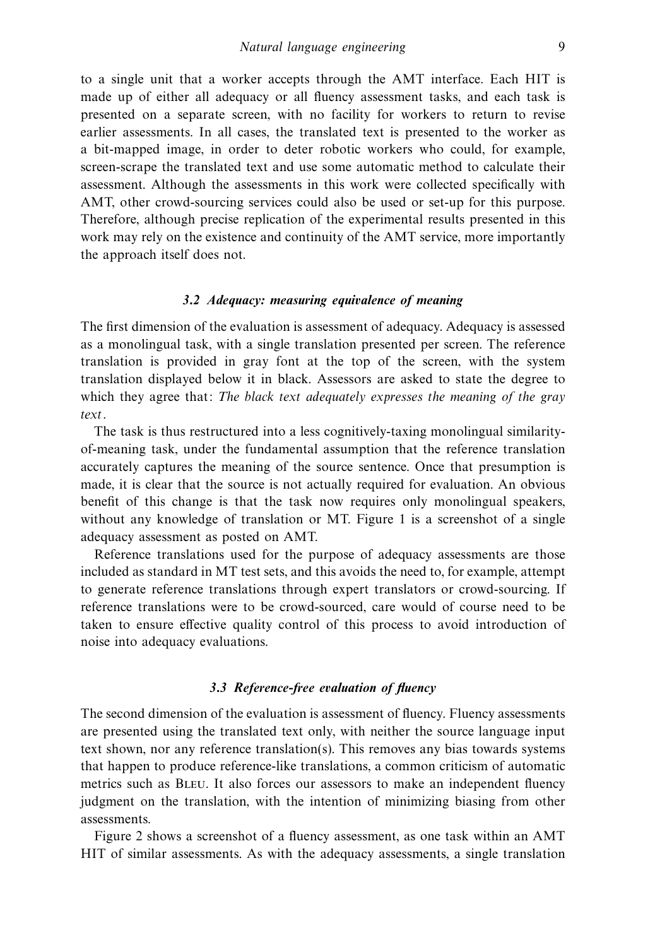to a single unit that a worker accepts through the AMT interface. Each HIT is made up of either all adequacy or all fluency assessment tasks, and each task is presented on a separate screen, with no facility for workers to return to revise earlier assessments. In all cases, the translated text is presented to the worker as a bit-mapped image, in order to deter robotic workers who could, for example, screen-scrape the translated text and use some automatic method to calculate their assessment. Although the assessments in this work were collected specifically with AMT, other crowd-sourcing services could also be used or set-up for this purpose. Therefore, although precise replication of the experimental results presented in this work may rely on the existence and continuity of the AMT service, more importantly the approach itself does not.

#### *3.2 Adequacy: measuring equivalence of meaning*

The first dimension of the evaluation is assessment of adequacy. Adequacy is assessed as a monolingual task, with a single translation presented per screen. The reference translation is provided in gray font at the top of the screen, with the system translation displayed below it in black. Assessors are asked to state the degree to which they agree that: The black text adequately expresses the meaning of the gray text.

The task is thus restructured into a less cognitively-taxing monolingual similarityof-meaning task, under the fundamental assumption that the reference translation accurately captures the meaning of the source sentence. Once that presumption is made, it is clear that the source is not actually required for evaluation. An obvious benefit of this change is that the task now requires only monolingual speakers, without any knowledge of translation or MT. Figure 1 is a screenshot of a single adequacy assessment as posted on AMT.

Reference translations used for the purpose of adequacy assessments are those included as standard in MT test sets, and this avoids the need to, for example, attempt to generate reference translations through expert translators or crowd-sourcing. If reference translations were to be crowd-sourced, care would of course need to be taken to ensure effective quality control of this process to avoid introduction of noise into adequacy evaluations.

#### *3.3 Reference-free evaluation of fluency*

The second dimension of the evaluation is assessment of fluency. Fluency assessments are presented using the translated text only, with neither the source language input text shown, nor any reference translation(s). This removes any bias towards systems that happen to produce reference-like translations, a common criticism of automatic metrics such as Bleu. It also forces our assessors to make an independent fluency judgment on the translation, with the intention of minimizing biasing from other assessments.

Figure 2 shows a screenshot of a fluency assessment, as one task within an AMT HIT of similar assessments. As with the adequacy assessments, a single translation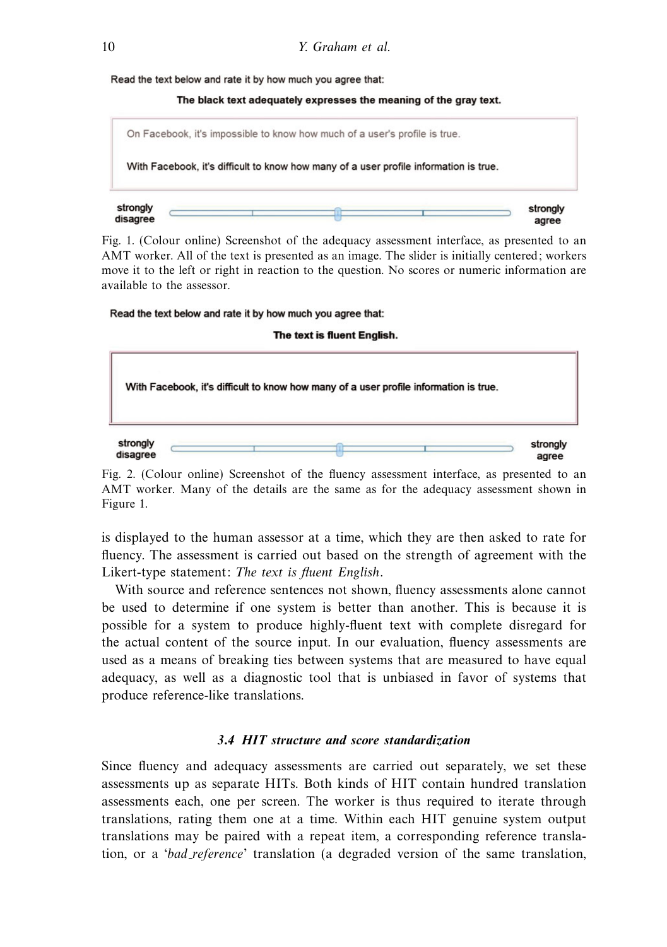Read the text below and rate it by how much you agree that:



Fig. 1. (Colour online) Screenshot of the adequacy assessment interface, as presented to an AMT worker. All of the text is presented as an image. The slider is initially centered; workers move it to the left or right in reaction to the question. No scores or numeric information are available to the assessor.

Read the text below and rate it by how much you agree that:

The text is fluent English.



Fig. 2. (Colour online) Screenshot of the fluency assessment interface, as presented to an AMT worker. Many of the details are the same as for the adequacy assessment shown in Figure 1.

is displayed to the human assessor at a time, which they are then asked to rate for fluency. The assessment is carried out based on the strength of agreement with the Likert-type statement: The text is fluent English.

With source and reference sentences not shown, fluency assessments alone cannot be used to determine if one system is better than another. This is because it is possible for a system to produce highly-fluent text with complete disregard for the actual content of the source input. In our evaluation, fluency assessments are used as a means of breaking ties between systems that are measured to have equal adequacy, as well as a diagnostic tool that is unbiased in favor of systems that produce reference-like translations.

#### *3.4 HIT structure and score standardization*

Since fluency and adequacy assessments are carried out separately, we set these assessments up as separate HITs. Both kinds of HIT contain hundred translation assessments each, one per screen. The worker is thus required to iterate through translations, rating them one at a time. Within each HIT genuine system output translations may be paired with a repeat item, a corresponding reference translation, or a 'bad\_reference' translation (a degraded version of the same translation,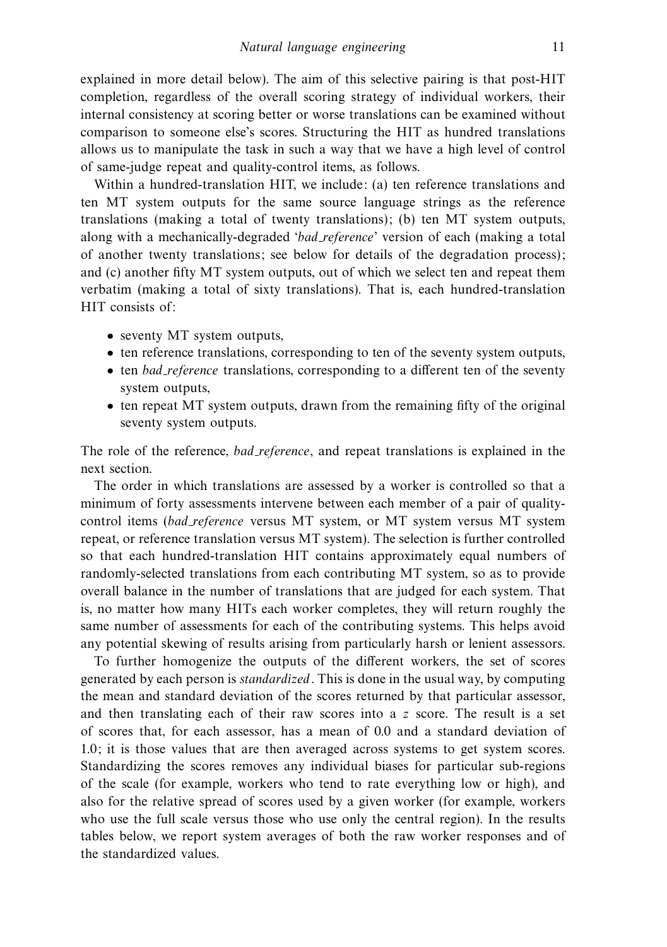explained in more detail below). The aim of this selective pairing is that post-HIT completion, regardless of the overall scoring strategy of individual workers, their internal consistency at scoring better or worse translations can be examined without comparison to someone else's scores. Structuring the HIT as hundred translations allows us to manipulate the task in such a way that we have a high level of control of same-judge repeat and quality-control items, as follows.

Within a hundred-translation HIT, we include: (a) ten reference translations and ten MT system outputs for the same source language strings as the reference translations (making a total of twenty translations); (b) ten MT system outputs, along with a mechanically-degraded 'bad reference' version of each (making a total of another twenty translations; see below for details of the degradation process); and (c) another fifty MT system outputs, out of which we select ten and repeat them verbatim (making a total of sixty translations). That is, each hundred-translation HIT consists of:

- seventy MT system outputs,
- ten reference translations, corresponding to ten of the seventy system outputs,
- ten bad reference translations, corresponding to a different ten of the seventy system outputs,
- ten repeat MT system outputs, drawn from the remaining fifty of the original seventy system outputs.

The role of the reference, *bad\_reference*, and repeat translations is explained in the next section.

The order in which translations are assessed by a worker is controlled so that a minimum of forty assessments intervene between each member of a pair of qualitycontrol items (bad\_reference versus MT system, or MT system versus MT system repeat, or reference translation versus MT system). The selection is further controlled so that each hundred-translation HIT contains approximately equal numbers of randomly-selected translations from each contributing MT system, so as to provide overall balance in the number of translations that are judged for each system. That is, no matter how many HITs each worker completes, they will return roughly the same number of assessments for each of the contributing systems. This helps avoid any potential skewing of results arising from particularly harsh or lenient assessors.

To further homogenize the outputs of the different workers, the set of scores generated by each person is standardized. This is done in the usual way, by computing the mean and standard deviation of the scores returned by that particular assessor, and then translating each of their raw scores into a *z* score. The result is a set of scores that, for each assessor, has a mean of 0.0 and a standard deviation of 1.0; it is those values that are then averaged across systems to get system scores. Standardizing the scores removes any individual biases for particular sub-regions of the scale (for example, workers who tend to rate everything low or high), and also for the relative spread of scores used by a given worker (for example, workers who use the full scale versus those who use only the central region). In the results tables below, we report system averages of both the raw worker responses and of the standardized values.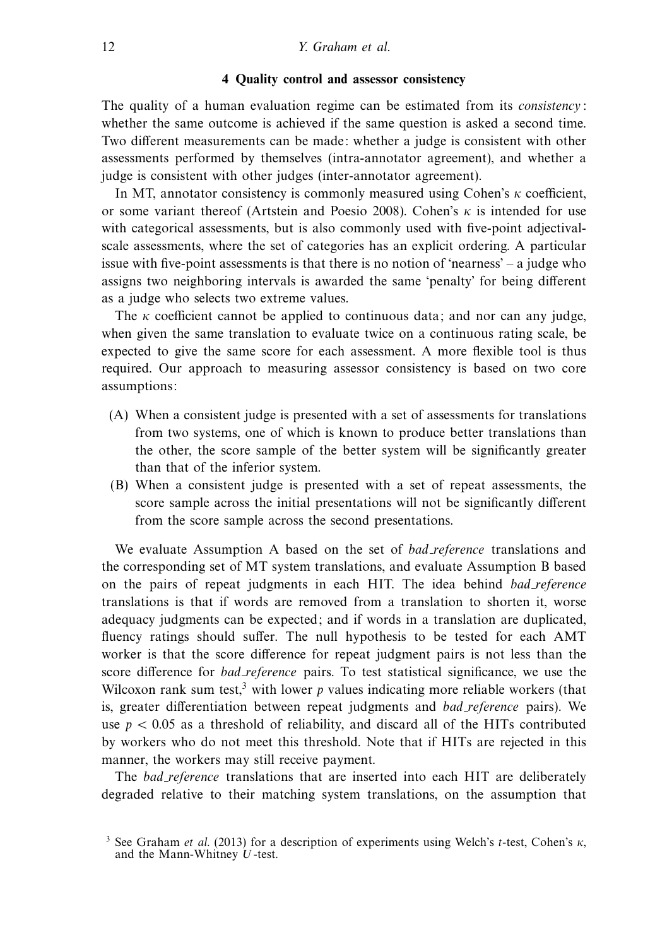#### **4 Quality control and assessor consistency**

The quality of a human evaluation regime can be estimated from its *consistency*: whether the same outcome is achieved if the same question is asked a second time. Two different measurements can be made: whether a judge is consistent with other assessments performed by themselves (intra-annotator agreement), and whether a judge is consistent with other judges (inter-annotator agreement).

In MT, annotator consistency is commonly measured using Cohen's *κ* coefficient, or some variant thereof (Artstein and Poesio 2008). Cohen's *κ* is intended for use with categorical assessments, but is also commonly used with five-point adjectivalscale assessments, where the set of categories has an explicit ordering. A particular issue with five-point assessments is that there is no notion of 'nearness' – a judge who assigns two neighboring intervals is awarded the same 'penalty' for being different as a judge who selects two extreme values.

The  $\kappa$  coefficient cannot be applied to continuous data; and nor can any judge, when given the same translation to evaluate twice on a continuous rating scale, be expected to give the same score for each assessment. A more flexible tool is thus required. Our approach to measuring assessor consistency is based on two core assumptions:

- (A) When a consistent judge is presented with a set of assessments for translations from two systems, one of which is known to produce better translations than the other, the score sample of the better system will be significantly greater than that of the inferior system.
- (B) When a consistent judge is presented with a set of repeat assessments, the score sample across the initial presentations will not be significantly different from the score sample across the second presentations.

We evaluate Assumption A based on the set of *bad\_reference* translations and the corresponding set of MT system translations, and evaluate Assumption B based on the pairs of repeat judgments in each HIT. The idea behind *bad\_reference* translations is that if words are removed from a translation to shorten it, worse adequacy judgments can be expected; and if words in a translation are duplicated, fluency ratings should suffer. The null hypothesis to be tested for each AMT worker is that the score difference for repeat judgment pairs is not less than the score difference for *bad reference* pairs. To test statistical significance, we use the Wilcoxon rank sum test,<sup>3</sup> with lower  $p$  values indicating more reliable workers (that is, greater differentiation between repeat judgments and bad reference pairs). We use  $p < 0.05$  as a threshold of reliability, and discard all of the HITs contributed by workers who do not meet this threshold. Note that if HITs are rejected in this manner, the workers may still receive payment.

The *bad\_reference* translations that are inserted into each HIT are deliberately degraded relative to their matching system translations, on the assumption that

<sup>3</sup> See Graham et al. (2013) for a description of experiments using Welch's *t*-test, Cohen's *κ,* and the Mann-Whitney  $U$ -test.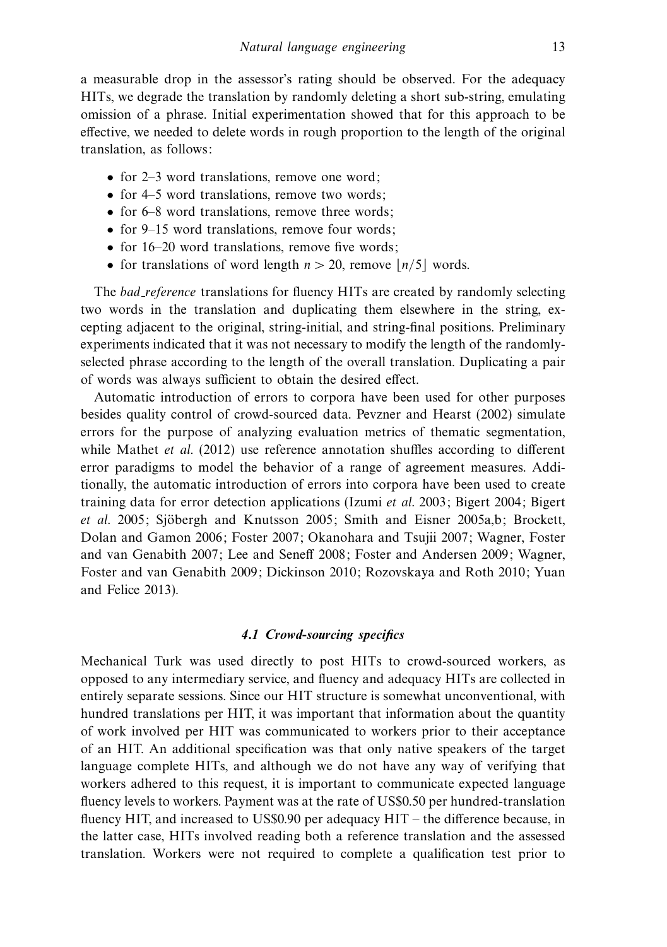a measurable drop in the assessor's rating should be observed. For the adequacy HITs, we degrade the translation by randomly deleting a short sub-string, emulating omission of a phrase. Initial experimentation showed that for this approach to be effective, we needed to delete words in rough proportion to the length of the original translation, as follows:

- for 2–3 word translations, remove one word;
- for 4–5 word translations, remove two words:
- for 6–8 word translations, remove three words:
- for 9–15 word translations, remove four words;
- for 16–20 word translations, remove five words;
- for translations of word length  $n > 20$ , remove  $\lfloor n/5 \rfloor$  words.

The *bad reference* translations for fluency HITs are created by randomly selecting two words in the translation and duplicating them elsewhere in the string, excepting adjacent to the original, string-initial, and string-final positions. Preliminary experiments indicated that it was not necessary to modify the length of the randomlyselected phrase according to the length of the overall translation. Duplicating a pair of words was always sufficient to obtain the desired effect.

Automatic introduction of errors to corpora have been used for other purposes besides quality control of crowd-sourced data. Pevzner and Hearst (2002) simulate errors for the purpose of analyzing evaluation metrics of thematic segmentation, while Mathet *et al.* (2012) use reference annotation shuffles according to different error paradigms to model the behavior of a range of agreement measures. Additionally, the automatic introduction of errors into corpora have been used to create training data for error detection applications (Izumi et al. 2003; Bigert 2004; Bigert et al.  $2005$ ; Sjöbergh and Knutsson  $2005$ ; Smith and Eisner  $2005a,b$ ; Brockett, Dolan and Gamon 2006; Foster 2007; Okanohara and Tsujii 2007; Wagner, Foster and van Genabith 2007; Lee and Seneff 2008; Foster and Andersen 2009; Wagner, Foster and van Genabith 2009; Dickinson 2010; Rozovskaya and Roth 2010; Yuan and Felice 2013).

#### *4.1 Crowd-sourcing specifics*

Mechanical Turk was used directly to post HITs to crowd-sourced workers, as opposed to any intermediary service, and fluency and adequacy HITs are collected in entirely separate sessions. Since our HIT structure is somewhat unconventional, with hundred translations per HIT, it was important that information about the quantity of work involved per HIT was communicated to workers prior to their acceptance of an HIT. An additional specification was that only native speakers of the target language complete HITs, and although we do not have any way of verifying that workers adhered to this request, it is important to communicate expected language fluency levels to workers. Payment was at the rate of US\$0.50 per hundred-translation fluency HIT, and increased to US\$0.90 per adequacy HIT – the difference because, in the latter case, HITs involved reading both a reference translation and the assessed translation. Workers were not required to complete a qualification test prior to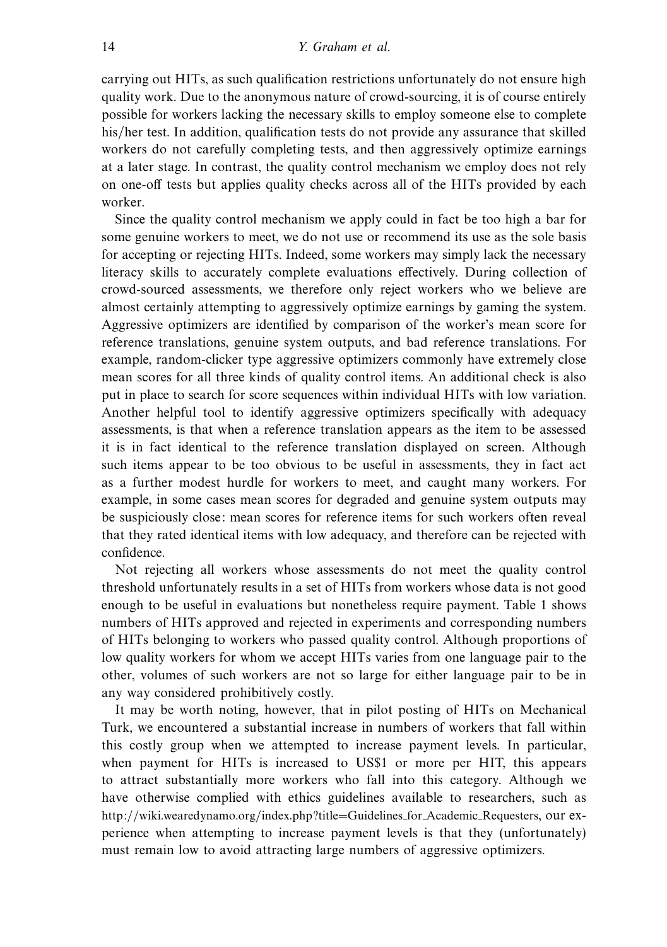carrying out HITs, as such qualification restrictions unfortunately do not ensure high quality work. Due to the anonymous nature of crowd-sourcing, it is of course entirely possible for workers lacking the necessary skills to employ someone else to complete his/her test. In addition, qualification tests do not provide any assurance that skilled workers do not carefully completing tests, and then aggressively optimize earnings at a later stage. In contrast, the quality control mechanism we employ does not rely on one-off tests but applies quality checks across all of the HITs provided by each worker.

Since the quality control mechanism we apply could in fact be too high a bar for some genuine workers to meet, we do not use or recommend its use as the sole basis for accepting or rejecting HITs. Indeed, some workers may simply lack the necessary literacy skills to accurately complete evaluations effectively. During collection of crowd-sourced assessments, we therefore only reject workers who we believe are almost certainly attempting to aggressively optimize earnings by gaming the system. Aggressive optimizers are identified by comparison of the worker's mean score for reference translations, genuine system outputs, and bad reference translations. For example, random-clicker type aggressive optimizers commonly have extremely close mean scores for all three kinds of quality control items. An additional check is also put in place to search for score sequences within individual HITs with low variation. Another helpful tool to identify aggressive optimizers specifically with adequacy assessments, is that when a reference translation appears as the item to be assessed it is in fact identical to the reference translation displayed on screen. Although such items appear to be too obvious to be useful in assessments, they in fact act as a further modest hurdle for workers to meet, and caught many workers. For example, in some cases mean scores for degraded and genuine system outputs may be suspiciously close: mean scores for reference items for such workers often reveal that they rated identical items with low adequacy, and therefore can be rejected with confidence.

Not rejecting all workers whose assessments do not meet the quality control threshold unfortunately results in a set of HITs from workers whose data is not good enough to be useful in evaluations but nonetheless require payment. Table 1 shows numbers of HITs approved and rejected in experiments and corresponding numbers of HITs belonging to workers who passed quality control. Although proportions of low quality workers for whom we accept HITs varies from one language pair to the other, volumes of such workers are not so large for either language pair to be in any way considered prohibitively costly.

It may be worth noting, however, that in pilot posting of HITs on Mechanical Turk, we encountered a substantial increase in numbers of workers that fall within this costly group when we attempted to increase payment levels. In particular, when payment for HITs is increased to US\$1 or more per HIT, this appears to attract substantially more workers who fall into this category. Although we have otherwise complied with ethics guidelines available to researchers, such as http://wiki.wearedynamo.org/index.php?title=Guidelines for Academic Requesters, our experience when attempting to increase payment levels is that they (unfortunately) must remain low to avoid attracting large numbers of aggressive optimizers.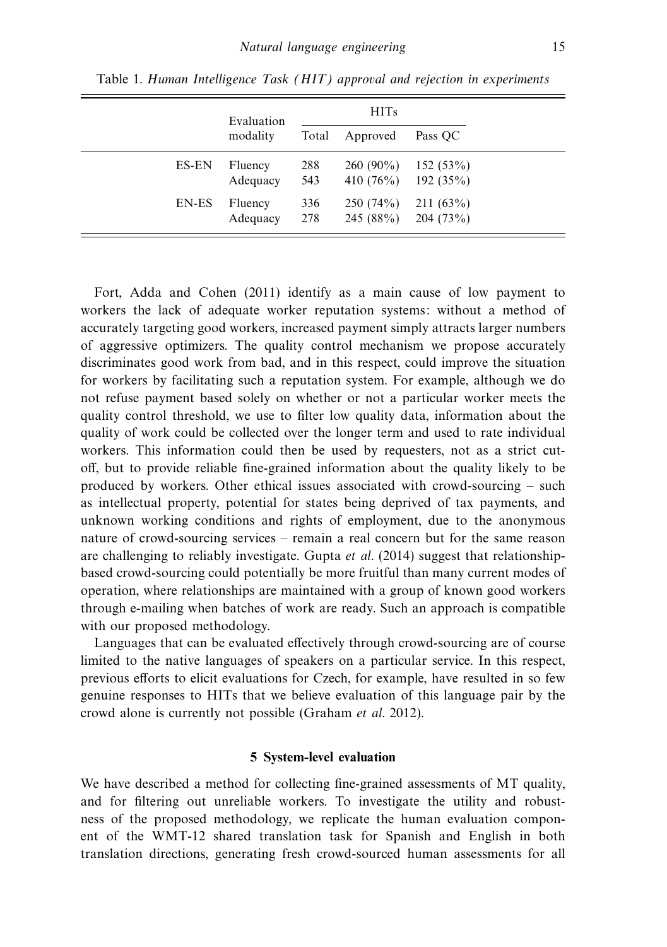|       | Evaluation          |            | <b>HITs</b>                           |          |
|-------|---------------------|------------|---------------------------------------|----------|
|       | modality            | Total      | Approved                              | Pass OC  |
| ES-EN | Fluency<br>Adequacy | 288<br>543 | $260(90\%)$<br>$410 (76\%)$ 192 (35%) | 152(53%) |
| EN-ES | Fluency<br>Adequacy | 336<br>278 | 250(74%)<br>$245 (88\%)$ 204 (73%)    | 211(63%) |

Table 1. Human Intelligence Task (HIT) approval and rejection in experiments

Fort, Adda and Cohen (2011) identify as a main cause of low payment to workers the lack of adequate worker reputation systems: without a method of accurately targeting good workers, increased payment simply attracts larger numbers of aggressive optimizers. The quality control mechanism we propose accurately discriminates good work from bad, and in this respect, could improve the situation for workers by facilitating such a reputation system. For example, although we do not refuse payment based solely on whether or not a particular worker meets the quality control threshold, we use to filter low quality data, information about the quality of work could be collected over the longer term and used to rate individual workers. This information could then be used by requesters, not as a strict cutoff, but to provide reliable fine-grained information about the quality likely to be produced by workers. Other ethical issues associated with crowd-sourcing – such as intellectual property, potential for states being deprived of tax payments, and unknown working conditions and rights of employment, due to the anonymous nature of crowd-sourcing services – remain a real concern but for the same reason are challenging to reliably investigate. Gupta *et al.* (2014) suggest that relationshipbased crowd-sourcing could potentially be more fruitful than many current modes of operation, where relationships are maintained with a group of known good workers through e-mailing when batches of work are ready. Such an approach is compatible with our proposed methodology.

Languages that can be evaluated effectively through crowd-sourcing are of course limited to the native languages of speakers on a particular service. In this respect, previous efforts to elicit evaluations for Czech, for example, have resulted in so few genuine responses to HITs that we believe evaluation of this language pair by the crowd alone is currently not possible (Graham et al. 2012).

#### **5 System-level evaluation**

We have described a method for collecting fine-grained assessments of MT quality, and for filtering out unreliable workers. To investigate the utility and robustness of the proposed methodology, we replicate the human evaluation component of the WMT-12 shared translation task for Spanish and English in both translation directions, generating fresh crowd-sourced human assessments for all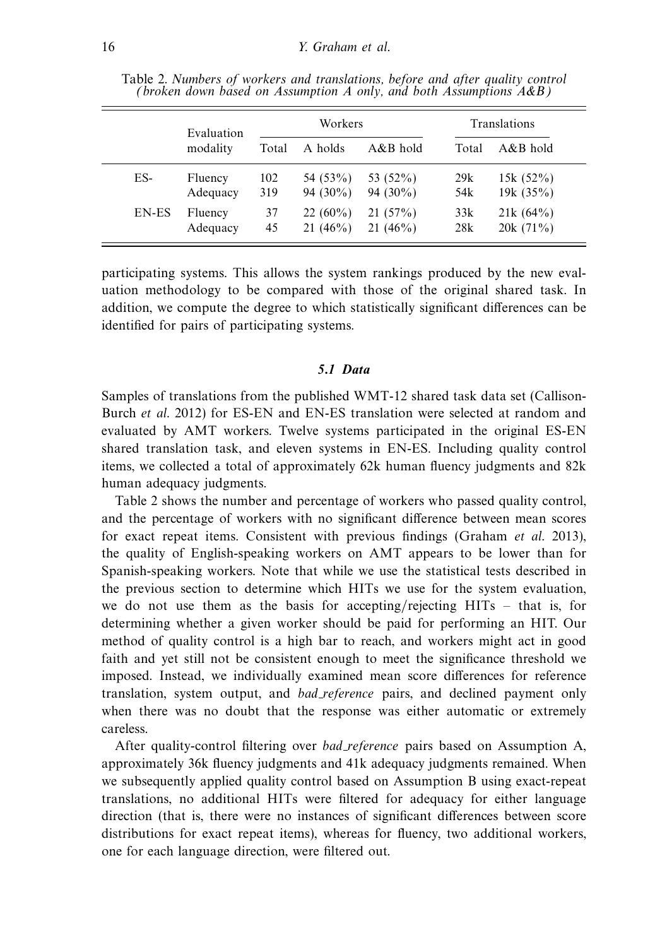|       | Evaluation |       | Workers     |             |       | <b>Translations</b> |
|-------|------------|-------|-------------|-------------|-------|---------------------|
|       | modality   | Total | A holds     | $A&B$ hold  | Total | $A&B$ hold          |
| ES-   | Fluency    | 102   | 54 (53%)    | 53 $(52\%)$ | 29k   | 15k $(52\%)$        |
|       | Adequacy   | 319   | 94 $(30\%)$ | 94 $(30\%)$ | 54k   | 19 $k(35%)$         |
| EN-ES | Fluency    | 37    | $22(60\%)$  | 21(57%)     | 33k   | 21k $(64\%)$        |
|       | Adequacy   | 45    | 21 $(46\%)$ | 21 $(46\%)$ | 28k   | 20 $k(71\%)$        |

Table 2. Numbers of workers and translations, before and after quality control (broken down based on Assumption A only, and both Assumptions A&B)

participating systems. This allows the system rankings produced by the new evaluation methodology to be compared with those of the original shared task. In addition, we compute the degree to which statistically significant differences can be identified for pairs of participating systems.

#### *5.1 Data*

Samples of translations from the published WMT-12 shared task data set (Callison-Burch et al. 2012) for ES-EN and EN-ES translation were selected at random and evaluated by AMT workers. Twelve systems participated in the original ES-EN shared translation task, and eleven systems in EN-ES. Including quality control items, we collected a total of approximately 62k human fluency judgments and 82k human adequacy judgments.

Table 2 shows the number and percentage of workers who passed quality control, and the percentage of workers with no significant difference between mean scores for exact repeat items. Consistent with previous findings (Graham et al. 2013), the quality of English-speaking workers on AMT appears to be lower than for Spanish-speaking workers. Note that while we use the statistical tests described in the previous section to determine which HITs we use for the system evaluation, we do not use them as the basis for accepting/rejecting HITs – that is, for determining whether a given worker should be paid for performing an HIT. Our method of quality control is a high bar to reach, and workers might act in good faith and yet still not be consistent enough to meet the significance threshold we imposed. Instead, we individually examined mean score differences for reference translation, system output, and bad reference pairs, and declined payment only when there was no doubt that the response was either automatic or extremely careless.

After quality-control filtering over bad reference pairs based on Assumption A, approximately 36k fluency judgments and 41k adequacy judgments remained. When we subsequently applied quality control based on Assumption B using exact-repeat translations, no additional HITs were filtered for adequacy for either language direction (that is, there were no instances of significant differences between score distributions for exact repeat items), whereas for fluency, two additional workers, one for each language direction, were filtered out.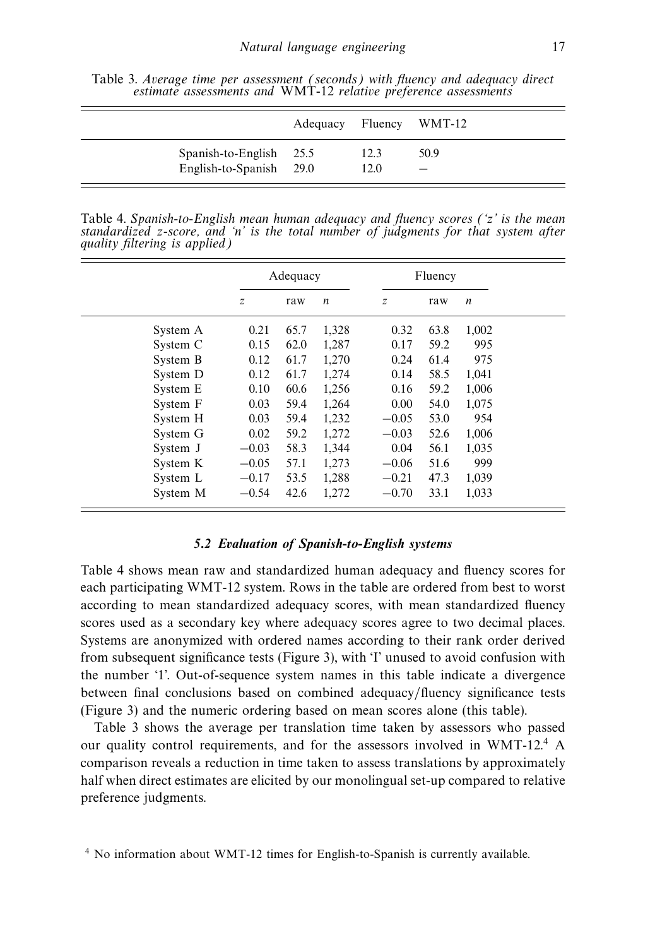|                                                    | Adequacy Fluency WMT-12 |              |      |
|----------------------------------------------------|-------------------------|--------------|------|
| Spanish-to-English 25.5<br>English-to-Spanish 29.0 |                         | 12.3<br>12.0 | 50.9 |

Table 3. Average time per assessment (seconds) with fluency and adequacy direct estimate assessments and WMT-12 relative preference assessments

Table 4. Spanish-to-English mean human adequacy and fluency scores ('*z*' is the mean standardized *<sup>z</sup>*-score, and '*n*' is the total number of judgments for that system after quality filtering is applied)

|          | Adequacy |      | Fluency          |         |      |                  |
|----------|----------|------|------------------|---------|------|------------------|
|          | Ζ        | raw  | $\boldsymbol{n}$ | Ζ       | raw  | $\boldsymbol{n}$ |
| System A | 0.21     | 65.7 | 1,328            | 0.32    | 63.8 | 1,002            |
| System C | 0.15     | 62.0 | 1,287            | 0.17    | 59.2 | 995              |
| System B | 0.12     | 61.7 | 1,270            | 0.24    | 61.4 | 975              |
| System D | 0.12     | 61.7 | 1,274            | 0.14    | 58.5 | 1,041            |
| System E | 0.10     | 60.6 | 1,256            | 0.16    | 59.2 | 1,006            |
| System F | 0.03     | 59.4 | 1,264            | 0.00    | 54.0 | 1,075            |
| System H | 0.03     | 59.4 | 1,232            | $-0.05$ | 53.0 | 954              |
| System G | 0.02     | 59.2 | 1,272            | $-0.03$ | 52.6 | 1,006            |
| System J | $-0.03$  | 58.3 | 1,344            | 0.04    | 56.1 | 1,035            |
| System K | $-0.05$  | 57.1 | 1,273            | $-0.06$ | 51.6 | 999              |
| System L | $-0.17$  | 53.5 | 1,288            | $-0.21$ | 47.3 | 1,039            |
| System M | $-0.54$  | 42.6 | 1,272            | $-0.70$ | 33.1 | 1,033            |

#### *5.2 Evaluation of Spanish-to-English systems*

Table 4 shows mean raw and standardized human adequacy and fluency scores for each participating WMT-12 system. Rows in the table are ordered from best to worst according to mean standardized adequacy scores, with mean standardized fluency scores used as a secondary key where adequacy scores agree to two decimal places. Systems are anonymized with ordered names according to their rank order derived from subsequent significance tests (Figure 3), with 'I' unused to avoid confusion with the number '1'. Out-of-sequence system names in this table indicate a divergence between final conclusions based on combined adequacy/fluency significance tests (Figure 3) and the numeric ordering based on mean scores alone (this table).

Table 3 shows the average per translation time taken by assessors who passed our quality control requirements, and for the assessors involved in WMT-12. <sup>4</sup> A comparison reveals a reduction in time taken to assess translations by approximately half when direct estimates are elicited by our monolingual set-up compared to relative preference judgments.

<sup>4</sup> No information about WMT-12 times for English-to-Spanish is currently available.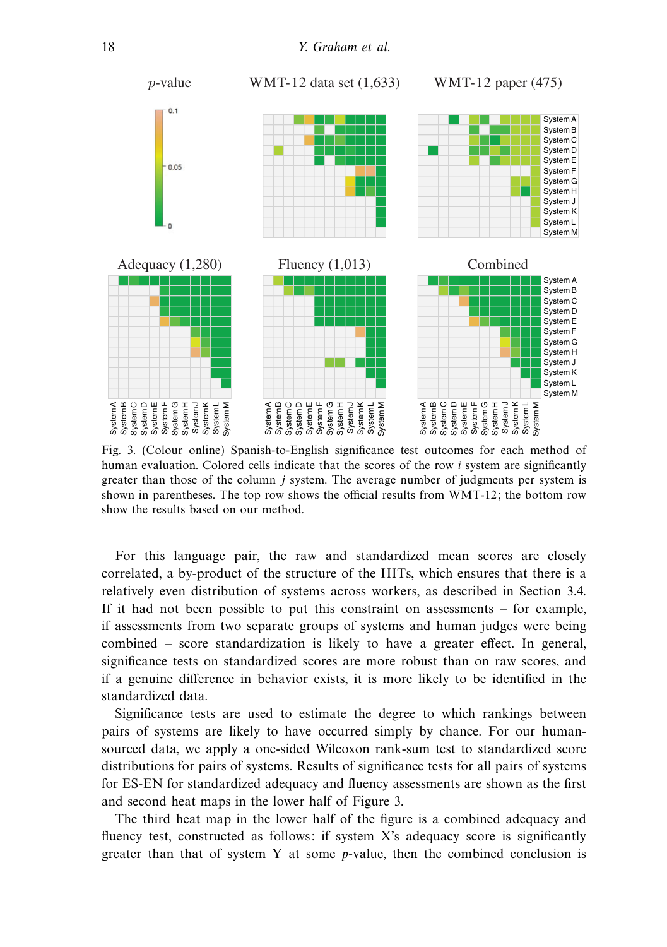

Fig. 3. (Colour online) Spanish-to-English significance test outcomes for each method of human evaluation. Colored cells indicate that the scores of the row *i* system are significantly greater than those of the column *j* system. The average number of judgments per system is shown in parentheses. The top row shows the official results from WMT-12; the bottom row show the results based on our method.

For this language pair, the raw and standardized mean scores are closely correlated, a by-product of the structure of the HITs, which ensures that there is a relatively even distribution of systems across workers, as described in Section 3.4. If it had not been possible to put this constraint on assessments – for example, if assessments from two separate groups of systems and human judges were being combined – score standardization is likely to have a greater effect. In general, significance tests on standardized scores are more robust than on raw scores, and if a genuine difference in behavior exists, it is more likely to be identified in the standardized data.

Significance tests are used to estimate the degree to which rankings between pairs of systems are likely to have occurred simply by chance. For our humansourced data, we apply a one-sided Wilcoxon rank-sum test to standardized score distributions for pairs of systems. Results of significance tests for all pairs of systems for ES-EN for standardized adequacy and fluency assessments are shown as the first and second heat maps in the lower half of Figure 3.

The third heat map in the lower half of the figure is a combined adequacy and fluency test, constructed as follows: if system X's adequacy score is significantly greater than that of system Y at some *p*-value, then the combined conclusion is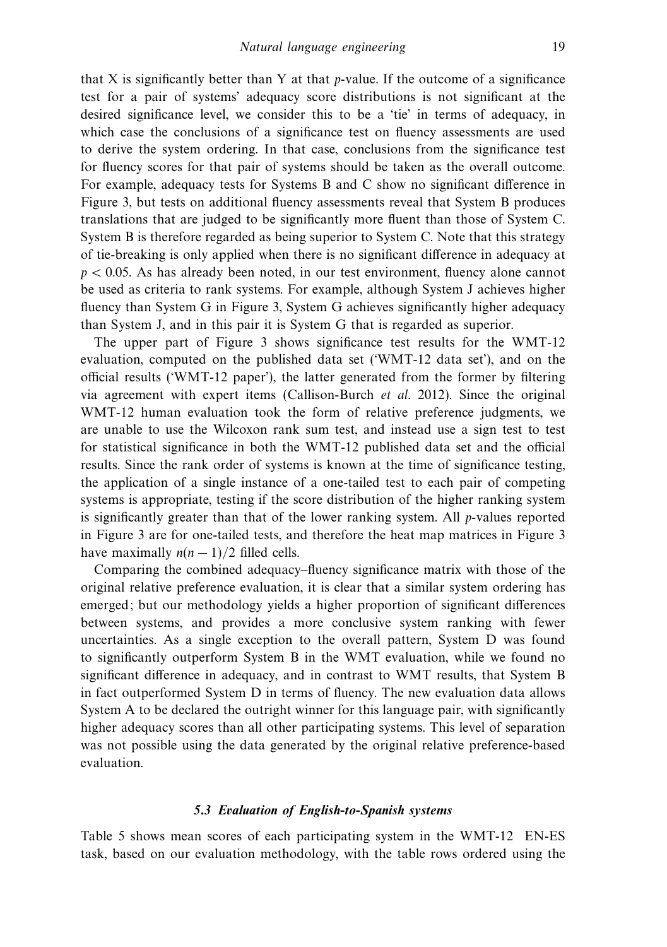that X is significantly better than Y at that *p*-value. If the outcome of a significance test for a pair of systems' adequacy score distributions is not significant at the desired significance level, we consider this to be a 'tie' in terms of adequacy, in which case the conclusions of a significance test on fluency assessments are used to derive the system ordering. In that case, conclusions from the significance test for fluency scores for that pair of systems should be taken as the overall outcome. For example, adequacy tests for Systems B and C show no significant difference in Figure 3, but tests on additional fluency assessments reveal that System B produces translations that are judged to be significantly more fluent than those of System C. System B is therefore regarded as being superior to System C. Note that this strategy of tie-breaking is only applied when there is no significant difference in adequacy at *p <* 0*.*05. As has already been noted, in our test environment, fluency alone cannot be used as criteria to rank systems. For example, although System J achieves higher fluency than System G in Figure 3, System G achieves significantly higher adequacy than System J, and in this pair it is System G that is regarded as superior.

The upper part of Figure 3 shows significance test results for the WMT-12 evaluation, computed on the published data set ('WMT-12 data set'), and on the official results ('WMT-12 paper'), the latter generated from the former by filtering via agreement with expert items (Callison-Burch et al. 2012). Since the original WMT-12 human evaluation took the form of relative preference judgments, we are unable to use the Wilcoxon rank sum test, and instead use a sign test to test for statistical significance in both the WMT-12 published data set and the official results. Since the rank order of systems is known at the time of significance testing, the application of a single instance of a one-tailed test to each pair of competing systems is appropriate, testing if the score distribution of the higher ranking system is significantly greater than that of the lower ranking system. All *p*-values reported in Figure 3 are for one-tailed tests, and therefore the heat map matrices in Figure 3 have maximally  $n(n-1)/2$  filled cells.

Comparing the combined adequacy–fluency significance matrix with those of the original relative preference evaluation, it is clear that a similar system ordering has emerged; but our methodology yields a higher proportion of significant differences between systems, and provides a more conclusive system ranking with fewer uncertainties. As a single exception to the overall pattern, System D was found to significantly outperform System B in the WMT evaluation, while we found no significant difference in adequacy, and in contrast to WMT results, that System B in fact outperformed System D in terms of fluency. The new evaluation data allows System A to be declared the outright winner for this language pair, with significantly higher adequacy scores than all other participating systems. This level of separation was not possible using the data generated by the original relative preference-based evaluation.

#### *5.3 Evaluation of English-to-Spanish systems*

Table 5 shows mean scores of each participating system in the WMT-12 EN-ES task, based on our evaluation methodology, with the table rows ordered using the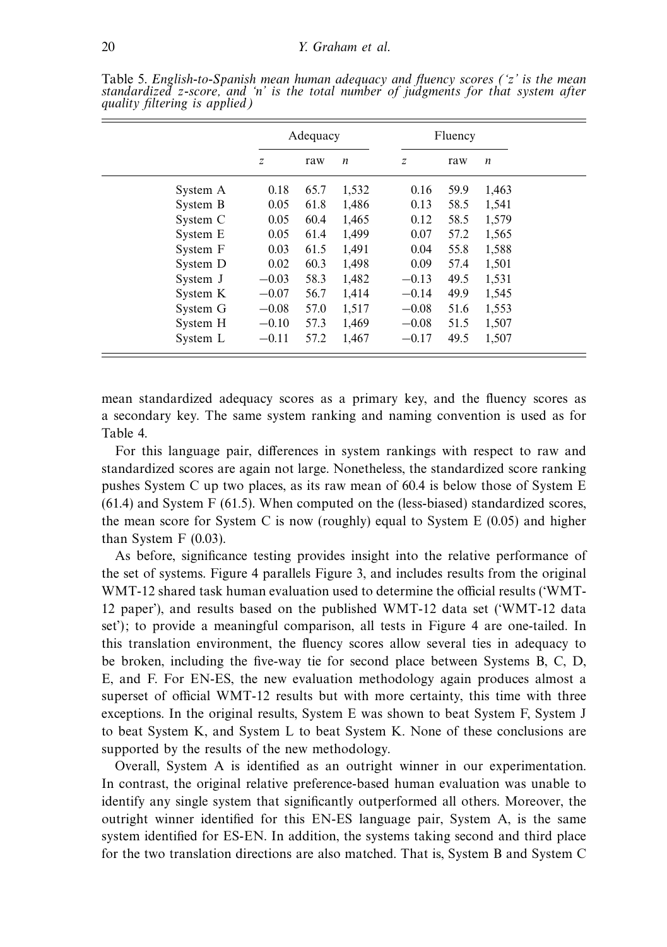Table 5. English-to-Spanish mean human adequacy and fluency scores ('*z*' is the mean standardized *<sup>z</sup>*-score, and '*n*' is the total number of judgments for that system after quality filtering is applied)

|          | Adequacy                    |      | Fluency          |         |      |                  |
|----------|-----------------------------|------|------------------|---------|------|------------------|
|          | $\mathcal{Z}_{\mathcal{L}}$ | raw  | $\boldsymbol{n}$ | z       | raw  | $\boldsymbol{n}$ |
| System A | 0.18                        | 65.7 | 1,532            | 0.16    | 59.9 | 1,463            |
| System B | 0.05                        | 61.8 | 1,486            | 0.13    | 58.5 | 1,541            |
| System C | 0.05                        | 60.4 | 1,465            | 0.12    | 58.5 | 1,579            |
| System E | 0.05                        | 61.4 | 1,499            | 0.07    | 57.2 | 1,565            |
| System F | 0.03                        | 61.5 | 1.491            | 0.04    | 55.8 | 1,588            |
| System D | 0.02                        | 60.3 | 1,498            | 0.09    | 57.4 | 1,501            |
| System J | $-0.03$                     | 58.3 | 1,482            | $-0.13$ | 49.5 | 1,531            |
| System K | $-0.07$                     | 56.7 | 1.414            | $-0.14$ | 49.9 | 1,545            |
| System G | $-0.08$                     | 57.0 | 1,517            | $-0.08$ | 51.6 | 1,553            |
| System H | $-0.10$                     | 57.3 | 1.469            | $-0.08$ | 51.5 | 1,507            |
| System L | $-0.11$                     | 57.2 | 1,467            | $-0.17$ | 49.5 | 1,507            |

mean standardized adequacy scores as a primary key, and the fluency scores as a secondary key. The same system ranking and naming convention is used as for Table 4.

For this language pair, differences in system rankings with respect to raw and standardized scores are again not large. Nonetheless, the standardized score ranking pushes System C up two places, as its raw mean of 60.4 is below those of System E  $(61.4)$  and System F  $(61.5)$ . When computed on the (less-biased) standardized scores, the mean score for System C is now (roughly) equal to System  $E(0.05)$  and higher than System  $F(0.03)$ .

As before, significance testing provides insight into the relative performance of the set of systems. Figure 4 parallels Figure 3, and includes results from the original WMT-12 shared task human evaluation used to determine the official results ('WMT-12 paper'), and results based on the published WMT-12 data set ('WMT-12 data set'); to provide a meaningful comparison, all tests in Figure 4 are one-tailed. In this translation environment, the fluency scores allow several ties in adequacy to be broken, including the five-way tie for second place between Systems B, C, D, E, and F. For EN-ES, the new evaluation methodology again produces almost a superset of official WMT-12 results but with more certainty, this time with three exceptions. In the original results, System E was shown to beat System F, System J to beat System K, and System L to beat System K. None of these conclusions are supported by the results of the new methodology.

Overall, System A is identified as an outright winner in our experimentation. In contrast, the original relative preference-based human evaluation was unable to identify any single system that significantly outperformed all others. Moreover, the outright winner identified for this EN-ES language pair, System A, is the same system identified for ES-EN. In addition, the systems taking second and third place for the two translation directions are also matched. That is, System B and System C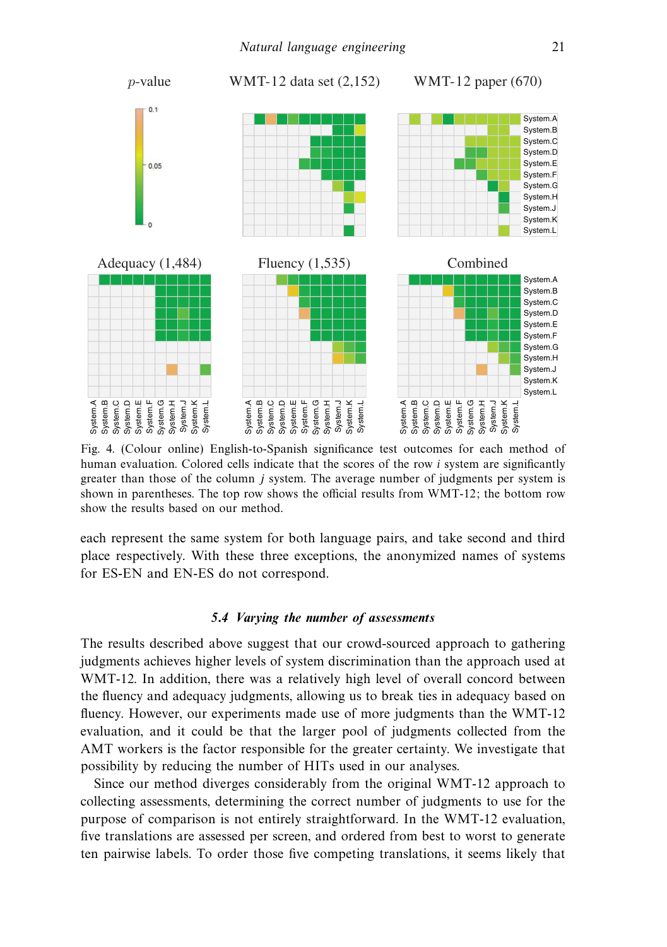

Fig. 4. (Colour online) English-to-Spanish significance test outcomes for each method of human evaluation. Colored cells indicate that the scores of the row *i* system are significantly greater than those of the column *j* system. The average number of judgments per system is shown in parentheses. The top row shows the official results from WMT-12; the bottom row show the results based on our method.

each represent the same system for both language pairs, and take second and third place respectively. With these three exceptions, the anonymized names of systems for ES-EN and EN-ES do not correspond.

#### *5.4 Varying the number of assessments*

The results described above suggest that our crowd-sourced approach to gathering judgments achieves higher levels of system discrimination than the approach used at WMT-12. In addition, there was a relatively high level of overall concord between the fluency and adequacy judgments, allowing us to break ties in adequacy based on fluency. However, our experiments made use of more judgments than the WMT-12 evaluation, and it could be that the larger pool of judgments collected from the AMT workers is the factor responsible for the greater certainty. We investigate that possibility by reducing the number of HITs used in our analyses.

Since our method diverges considerably from the original WMT-12 approach to collecting assessments, determining the correct number of judgments to use for the purpose of comparison is not entirely straightforward. In the WMT-12 evaluation, five translations are assessed per screen, and ordered from best to worst to generate ten pairwise labels. To order those five competing translations, it seems likely that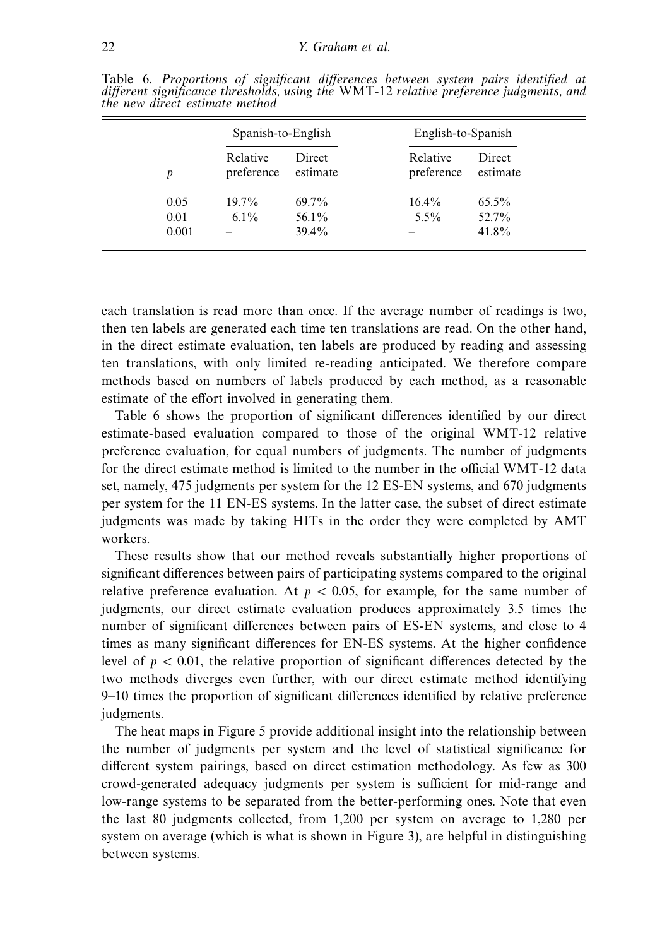|       | Spanish-to-English     |                    | English-to-Spanish     |                    |
|-------|------------------------|--------------------|------------------------|--------------------|
| p     | Relative<br>preference | Direct<br>estimate | Relative<br>preference | Direct<br>estimate |
| 0.05  | $19.7\%$               | $69.7\%$           | $16.4\%$               | $65.5\%$           |
| 0.01  | $6.1\%$                | $56.1\%$           | $5.5\%$                | 52.7%              |
| 0.001 |                        | $39.4\%$           |                        | 41.8%              |

Table 6. Proportions of significant differences between system pairs identified at different significance thresholds, using the WMT-12 relative preference judgments, and the new direct estimate method

each translation is read more than once. If the average number of readings is two, then ten labels are generated each time ten translations are read. On the other hand, in the direct estimate evaluation, ten labels are produced by reading and assessing ten translations, with only limited re-reading anticipated. We therefore compare methods based on numbers of labels produced by each method, as a reasonable estimate of the effort involved in generating them.

Table 6 shows the proportion of significant differences identified by our direct estimate-based evaluation compared to those of the original WMT-12 relative preference evaluation, for equal numbers of judgments. The number of judgments for the direct estimate method is limited to the number in the official WMT-12 data set, namely, 475 judgments per system for the 12 ES-EN systems, and 670 judgments per system for the 11 EN-ES systems. In the latter case, the subset of direct estimate judgments was made by taking HITs in the order they were completed by AMT workers.

These results show that our method reveals substantially higher proportions of significant differences between pairs of participating systems compared to the original relative preference evaluation. At  $p < 0.05$ , for example, for the same number of judgments, our direct estimate evaluation produces approximately 3.5 times the number of significant differences between pairs of ES-EN systems, and close to 4 times as many significant differences for EN-ES systems. At the higher confidence level of  $p < 0.01$ , the relative proportion of significant differences detected by the two methods diverges even further, with our direct estimate method identifying 9–10 times the proportion of significant differences identified by relative preference judgments.

The heat maps in Figure 5 provide additional insight into the relationship between the number of judgments per system and the level of statistical significance for different system pairings, based on direct estimation methodology. As few as 300 crowd-generated adequacy judgments per system is sufficient for mid-range and low-range systems to be separated from the better-performing ones. Note that even the last 80 judgments collected, from 1,200 per system on average to 1,280 per system on average (which is what is shown in Figure 3), are helpful in distinguishing between systems.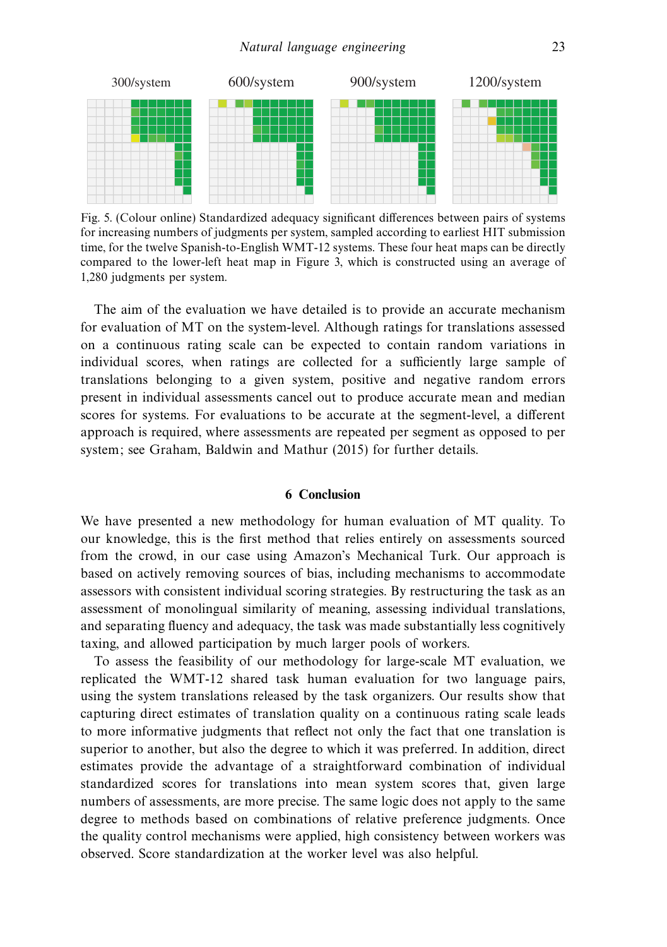

Fig. 5. (Colour online) Standardized adequacy significant differences between pairs of systems for increasing numbers of judgments per system, sampled according to earliest HIT submission time, for the twelve Spanish-to-English WMT-12 systems. These four heat maps can be directly compared to the lower-left heat map in Figure 3, which is constructed using an average of 1,280 judgments per system.

The aim of the evaluation we have detailed is to provide an accurate mechanism for evaluation of MT on the system-level. Although ratings for translations assessed on a continuous rating scale can be expected to contain random variations in individual scores, when ratings are collected for a sufficiently large sample of translations belonging to a given system, positive and negative random errors present in individual assessments cancel out to produce accurate mean and median scores for systems. For evaluations to be accurate at the segment-level, a different approach is required, where assessments are repeated per segment as opposed to per system; see Graham, Baldwin and Mathur (2015) for further details.

#### **6 Conclusion**

We have presented a new methodology for human evaluation of MT quality. To our knowledge, this is the first method that relies entirely on assessments sourced from the crowd, in our case using Amazon's Mechanical Turk. Our approach is based on actively removing sources of bias, including mechanisms to accommodate assessors with consistent individual scoring strategies. By restructuring the task as an assessment of monolingual similarity of meaning, assessing individual translations, and separating fluency and adequacy, the task was made substantially less cognitively taxing, and allowed participation by much larger pools of workers.

To assess the feasibility of our methodology for large-scale MT evaluation, we replicated the WMT-12 shared task human evaluation for two language pairs, using the system translations released by the task organizers. Our results show that capturing direct estimates of translation quality on a continuous rating scale leads to more informative judgments that reflect not only the fact that one translation is superior to another, but also the degree to which it was preferred. In addition, direct estimates provide the advantage of a straightforward combination of individual standardized scores for translations into mean system scores that, given large numbers of assessments, are more precise. The same logic does not apply to the same degree to methods based on combinations of relative preference judgments. Once the quality control mechanisms were applied, high consistency between workers was observed. Score standardization at the worker level was also helpful.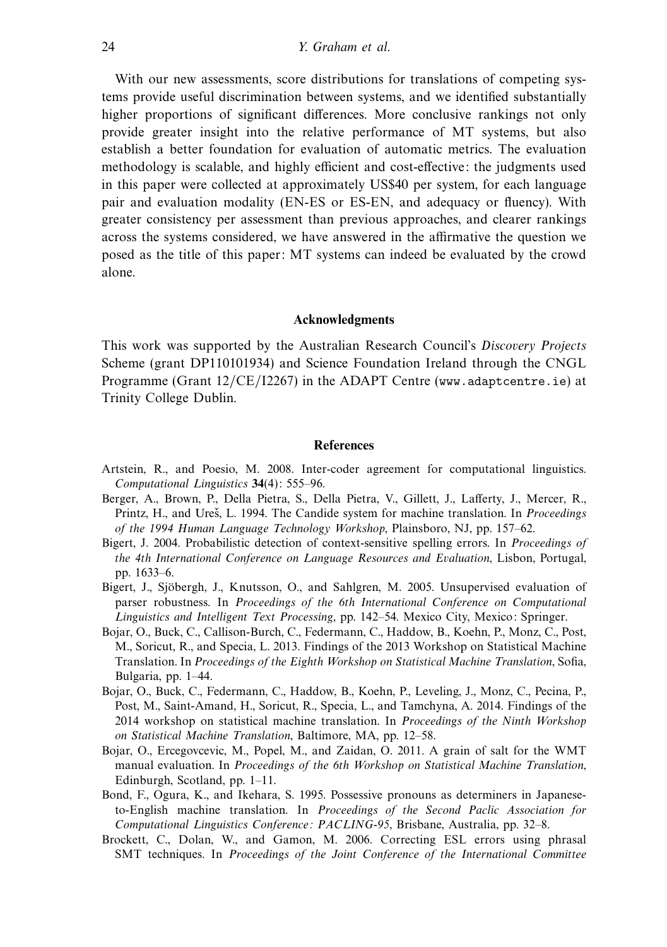With our new assessments, score distributions for translations of competing systems provide useful discrimination between systems, and we identified substantially higher proportions of significant differences. More conclusive rankings not only provide greater insight into the relative performance of MT systems, but also establish a better foundation for evaluation of automatic metrics. The evaluation methodology is scalable, and highly efficient and cost-effective: the judgments used in this paper were collected at approximately US\$40 per system, for each language pair and evaluation modality (EN-ES or ES-EN, and adequacy or fluency). With greater consistency per assessment than previous approaches, and clearer rankings across the systems considered, we have answered in the affirmative the question we posed as the title of this paper: MT systems can indeed be evaluated by the crowd alone.

#### **Acknowledgments**

This work was supported by the Australian Research Council's Discovery Projects Scheme (grant DP110101934) and Science Foundation Ireland through the CNGL Programme (Grant 12/CE/I2267) in the ADAPT Centre (www.adaptcentre.ie) at Trinity College Dublin.

#### **References**

- Artstein, R., and Poesio, M. 2008. Inter-coder agreement for computational linguistics. Computational Linguistics **34**(4): 555–96.
- Berger, A., Brown, P., Della Pietra, S., Della Pietra, V., Gillett, J., Lafferty, J., Mercer, R., Printz, H., and Ureš, L. 1994. The Candide system for machine translation. In *Proceedings* of the 1994 Human Language Technology Workshop, Plainsboro, NJ, pp. 157–62.
- Bigert, J. 2004. Probabilistic detection of context-sensitive spelling errors. In Proceedings of the 4th International Conference on Language Resources and Evaluation, Lisbon, Portugal, pp. 1633–6.
- Bigert, J., Sjöbergh, J., Knutsson, O., and Sahlgren, M. 2005. Unsupervised evaluation of parser robustness. In Proceedings of the 6th International Conference on Computational Linguistics and Intelligent Text Processing, pp. 142–54. Mexico City, Mexico: Springer.
- Bojar, O., Buck, C., Callison-Burch, C., Federmann, C., Haddow, B., Koehn, P., Monz, C., Post, M., Soricut, R., and Specia, L. 2013. Findings of the 2013 Workshop on Statistical Machine Translation. In Proceedings of the Eighth Workshop on Statistical Machine Translation, Sofia, Bulgaria, pp. 1–44.
- Bojar, O., Buck, C., Federmann, C., Haddow, B., Koehn, P., Leveling, J., Monz, C., Pecina, P., Post, M., Saint-Amand, H., Soricut, R., Specia, L., and Tamchyna, A. 2014. Findings of the 2014 workshop on statistical machine translation. In Proceedings of the Ninth Workshop on Statistical Machine Translation, Baltimore, MA, pp. 12–58.
- Bojar, O., Ercegovcevic, M., Popel, M., and Zaidan, O. 2011. A grain of salt for the WMT manual evaluation. In Proceedings of the 6th Workshop on Statistical Machine Translation, Edinburgh, Scotland, pp. 1–11.
- Bond, F., Ogura, K., and Ikehara, S. 1995. Possessive pronouns as determiners in Japaneseto-English machine translation. In Proceedings of the Second Paclic Association for Computational Linguistics Conference: PACLING-95, Brisbane, Australia, pp. 32–8.
- Brockett, C., Dolan, W., and Gamon, M. 2006. Correcting ESL errors using phrasal SMT techniques. In Proceedings of the Joint Conference of the International Committee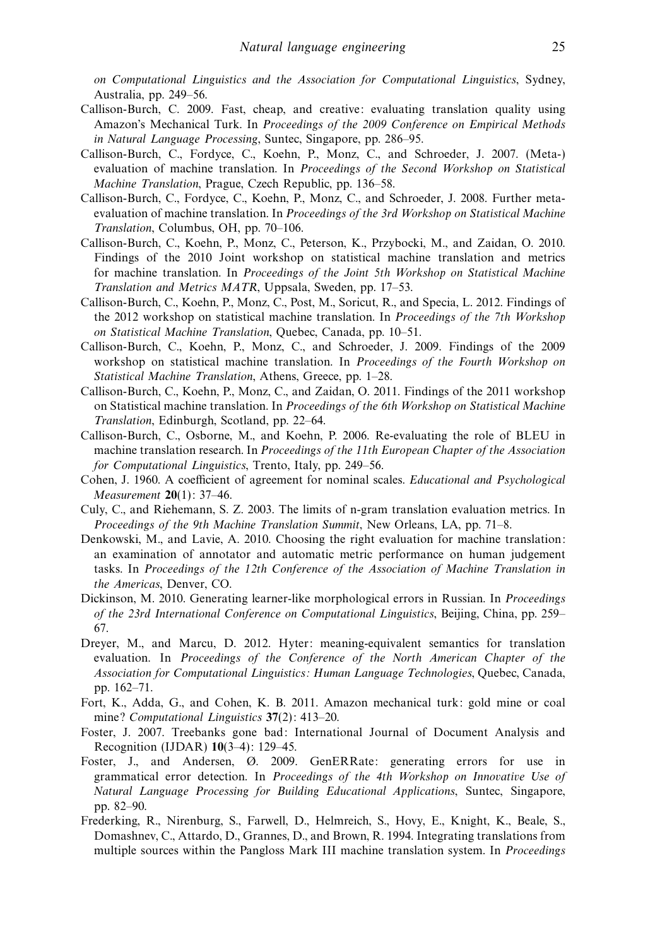on Computational Linguistics and the Association for Computational Linguistics, Sydney, Australia, pp. 249–56.

- Callison-Burch, C. 2009. Fast, cheap, and creative: evaluating translation quality using Amazon's Mechanical Turk. In Proceedings of the 2009 Conference on Empirical Methods in Natural Language Processing, Suntec, Singapore, pp. 286–95.
- Callison-Burch, C., Fordyce, C., Koehn, P., Monz, C., and Schroeder, J. 2007. (Meta-) evaluation of machine translation. In Proceedings of the Second Workshop on Statistical Machine Translation, Prague, Czech Republic, pp. 136–58.
- Callison-Burch, C., Fordyce, C., Koehn, P., Monz, C., and Schroeder, J. 2008. Further metaevaluation of machine translation. In Proceedings of the 3rd Workshop on Statistical Machine Translation, Columbus, OH, pp. 70–106.
- Callison-Burch, C., Koehn, P., Monz, C., Peterson, K., Przybocki, M., and Zaidan, O. 2010. Findings of the 2010 Joint workshop on statistical machine translation and metrics for machine translation. In Proceedings of the Joint 5th Workshop on Statistical Machine Translation and Metrics MATR, Uppsala, Sweden, pp. 17–53.
- Callison-Burch, C., Koehn, P., Monz, C., Post, M., Soricut, R., and Specia, L. 2012. Findings of the 2012 workshop on statistical machine translation. In Proceedings of the 7th Workshop on Statistical Machine Translation, Quebec, Canada, pp. 10–51.
- Callison-Burch, C., Koehn, P., Monz, C., and Schroeder, J. 2009. Findings of the 2009 workshop on statistical machine translation. In Proceedings of the Fourth Workshop on Statistical Machine Translation, Athens, Greece, pp. 1–28.
- Callison-Burch, C., Koehn, P., Monz, C., and Zaidan, O. 2011. Findings of the 2011 workshop on Statistical machine translation. In Proceedings of the 6th Workshop on Statistical Machine Translation, Edinburgh, Scotland, pp. 22–64.
- Callison-Burch, C., Osborne, M., and Koehn, P. 2006. Re-evaluating the role of BLEU in machine translation research. In Proceedings of the 11th European Chapter of the Association for Computational Linguistics, Trento, Italy, pp. 249–56.
- Cohen, J. 1960. A coefficient of agreement for nominal scales. Educational and Psychological Measurement **20**(1): 37–46.
- Culy, C., and Riehemann, S. Z. 2003. The limits of n-gram translation evaluation metrics. In Proceedings of the 9th Machine Translation Summit, New Orleans, LA, pp. 71–8.
- Denkowski, M., and Lavie, A. 2010. Choosing the right evaluation for machine translation: an examination of annotator and automatic metric performance on human judgement tasks. In Proceedings of the 12th Conference of the Association of Machine Translation in the Americas, Denver, CO.
- Dickinson, M. 2010. Generating learner-like morphological errors in Russian. In Proceedings of the 23rd International Conference on Computational Linguistics, Beijing, China, pp. 259– 67.
- Dreyer, M., and Marcu, D. 2012. Hyter: meaning-equivalent semantics for translation evaluation. In Proceedings of the Conference of the North American Chapter of the Association for Computational Linguistics: Human Language Technologies, Quebec, Canada, pp. 162–71.
- Fort, K., Adda, G., and Cohen, K. B. 2011. Amazon mechanical turk: gold mine or coal mine? Computational Linguistics **37**(2): 413–20.
- Foster, J. 2007. Treebanks gone bad: International Journal of Document Analysis and Recognition (IJDAR) **10**(3–4): 129–45.
- Foster, J., and Andersen, Ø. 2009. GenERRate: generating errors for use in grammatical error detection. In Proceedings of the 4th Workshop on Innovative Use of Natural Language Processing for Building Educational Applications, Suntec, Singapore, pp. 82–90.
- Frederking, R., Nirenburg, S., Farwell, D., Helmreich, S., Hovy, E., Knight, K., Beale, S., Domashnev, C., Attardo, D., Grannes, D., and Brown, R. 1994. Integrating translations from multiple sources within the Pangloss Mark III machine translation system. In Proceedings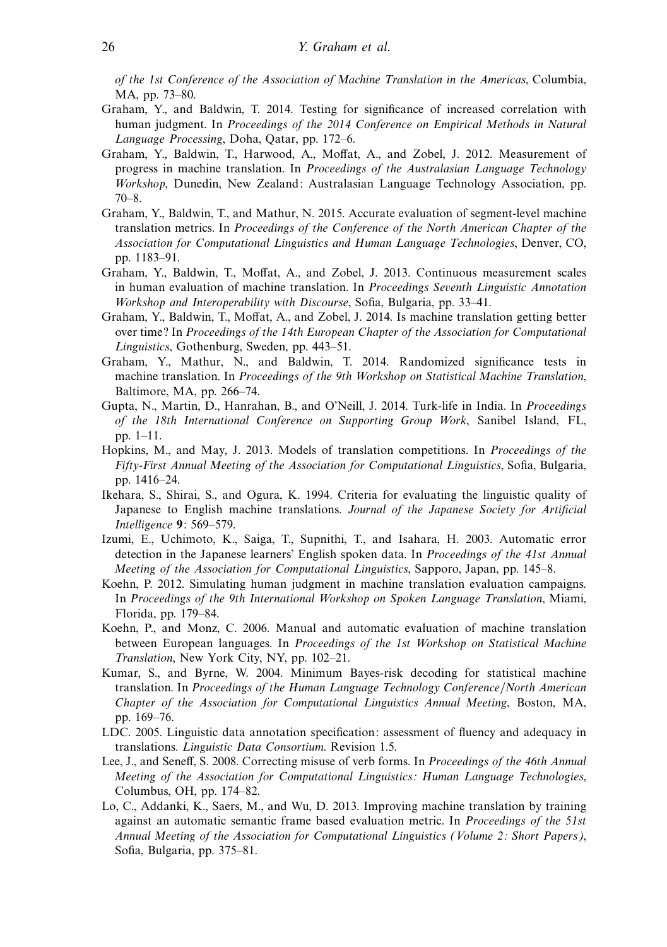of the 1st Conference of the Association of Machine Translation in the Americas, Columbia, MA, pp. 73–80.

- Graham, Y., and Baldwin, T. 2014. Testing for significance of increased correlation with human judgment. In Proceedings of the 2014 Conference on Empirical Methods in Natural Language Processing, Doha, Qatar, pp. 172–6.
- Graham, Y., Baldwin, T., Harwood, A., Moffat, A., and Zobel, J. 2012. Measurement of progress in machine translation. In Proceedings of the Australasian Language Technology Workshop, Dunedin, New Zealand: Australasian Language Technology Association, pp. 70–8.
- Graham, Y., Baldwin, T., and Mathur, N. 2015. Accurate evaluation of segment-level machine translation metrics. In Proceedings of the Conference of the North American Chapter of the Association for Computational Linguistics and Human Language Technologies, Denver, CO, pp. 1183–91.
- Graham, Y., Baldwin, T., Moffat, A., and Zobel, J. 2013. Continuous measurement scales in human evaluation of machine translation. In Proceedings Seventh Linguistic Annotation Workshop and Interoperability with Discourse, Sofia, Bulgaria, pp. 33–41.
- Graham, Y., Baldwin, T., Moffat, A., and Zobel, J. 2014. Is machine translation getting better over time? In Proceedings of the 14th European Chapter of the Association for Computational Linguistics, Gothenburg, Sweden, pp. 443–51.
- Graham, Y., Mathur, N., and Baldwin, T. 2014. Randomized significance tests in machine translation. In Proceedings of the 9th Workshop on Statistical Machine Translation, Baltimore, MA, pp. 266–74.
- Gupta, N., Martin, D., Hanrahan, B., and O'Neill, J. 2014. Turk-life in India. In Proceedings of the 18th International Conference on Supporting Group Work, Sanibel Island, FL, pp. 1–11.
- Hopkins, M., and May, J. 2013. Models of translation competitions. In Proceedings of the Fifty-First Annual Meeting of the Association for Computational Linguistics, Sofia, Bulgaria, pp. 1416–24.
- Ikehara, S., Shirai, S., and Ogura, K. 1994. Criteria for evaluating the linguistic quality of Japanese to English machine translations. Journal of the Japanese Society for Artificial Intelligence **9**: 569–579.
- Izumi, E., Uchimoto, K., Saiga, T., Supnithi, T., and Isahara, H. 2003. Automatic error detection in the Japanese learners' English spoken data. In Proceedings of the 41st Annual Meeting of the Association for Computational Linguistics, Sapporo, Japan, pp. 145–8.
- Koehn, P. 2012. Simulating human judgment in machine translation evaluation campaigns. In Proceedings of the 9th International Workshop on Spoken Language Translation, Miami, Florida, pp. 179–84.
- Koehn, P., and Monz, C. 2006. Manual and automatic evaluation of machine translation between European languages. In *Proceedings of the 1st Workshop on Statistical Machine* Translation, New York City, NY, pp. 102–21.
- Kumar, S., and Byrne, W. 2004. Minimum Bayes-risk decoding for statistical machine translation. In Proceedings of the Human Language Technology Conference/North American Chapter of the Association for Computational Linguistics Annual Meeting, Boston, MA, pp. 169–76.
- LDC. 2005. Linguistic data annotation specification: assessment of fluency and adequacy in translations. Linguistic Data Consortium. Revision 1.5.
- Lee, J., and Seneff, S. 2008. Correcting misuse of verb forms. In Proceedings of the 46th Annual Meeting of the Association for Computational Linguistics: Human Language Technologies, Columbus, OH, pp. 174–82.
- Lo, C., Addanki, K., Saers, M., and Wu, D. 2013. Improving machine translation by training against an automatic semantic frame based evaluation metric. In Proceedings of the 51st Annual Meeting of the Association for Computational Linguistics (Volume 2: Short Papers), Sofia, Bulgaria, pp. 375–81.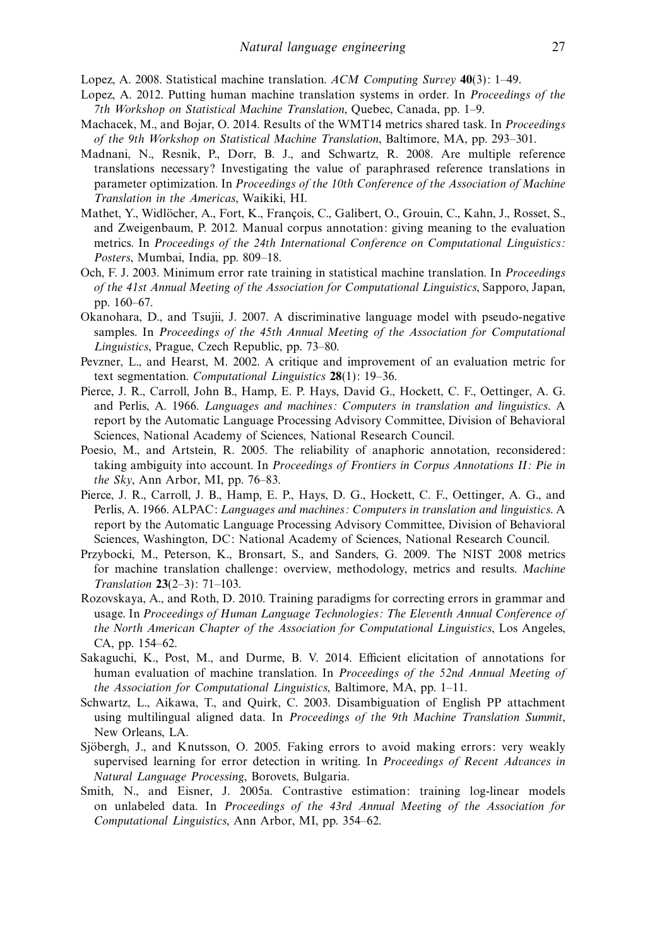Lopez, A. 2008. Statistical machine translation. ACM Computing Survey **40**(3): 1–49.

- Lopez, A. 2012. Putting human machine translation systems in order. In Proceedings of the 7th Workshop on Statistical Machine Translation, Quebec, Canada, pp. 1–9.
- Machacek, M., and Bojar, O. 2014. Results of the WMT14 metrics shared task. In Proceedings of the 9th Workshop on Statistical Machine Translation, Baltimore, MA, pp. 293–301.
- Madnani, N., Resnik, P., Dorr, B. J., and Schwartz, R. 2008. Are multiple reference translations necessary? Investigating the value of paraphrased reference translations in parameter optimization. In Proceedings of the 10th Conference of the Association of Machine Translation in the Americas, Waikiki, HI.
- Mathet, Y., Widlöcher, A., Fort, K., François, C., Galibert, O., Grouin, C., Kahn, J., Rosset, S., and Zweigenbaum, P. 2012. Manual corpus annotation: giving meaning to the evaluation metrics. In Proceedings of the 24th International Conference on Computational Linguistics: Posters, Mumbai, India, pp. 809–18.
- Och, F. J. 2003. Minimum error rate training in statistical machine translation. In Proceedings of the 41st Annual Meeting of the Association for Computational Linguistics, Sapporo, Japan, pp. 160–67.
- Okanohara, D., and Tsujii, J. 2007. A discriminative language model with pseudo-negative samples. In Proceedings of the 45th Annual Meeting of the Association for Computational Linguistics, Prague, Czech Republic, pp. 73–80.
- Pevzner, L., and Hearst, M. 2002. A critique and improvement of an evaluation metric for text segmentation. Computational Linguistics **28**(1): 19–36.
- Pierce, J. R., Carroll, John B., Hamp, E. P. Hays, David G., Hockett, C. F., Oettinger, A. G. and Perlis, A. 1966. Languages and machines: Computers in translation and linguistics. A report by the Automatic Language Processing Advisory Committee, Division of Behavioral Sciences, National Academy of Sciences, National Research Council.
- Poesio, M., and Artstein, R. 2005. The reliability of anaphoric annotation, reconsidered: taking ambiguity into account. In Proceedings of Frontiers in Corpus Annotations II: Pie in the Sky, Ann Arbor, MI, pp. 76–83.
- Pierce, J. R., Carroll, J. B., Hamp, E. P., Hays, D. G., Hockett, C. F., Oettinger, A. G., and Perlis, A. 1966. ALPAC: Languages and machines: Computers in translation and linguistics. A report by the Automatic Language Processing Advisory Committee, Division of Behavioral Sciences, Washington, DC: National Academy of Sciences, National Research Council.
- Przybocki, M., Peterson, K., Bronsart, S., and Sanders, G. 2009. The NIST 2008 metrics for machine translation challenge: overview, methodology, metrics and results. Machine Translation **23**(2–3): 71–103.
- Rozovskaya, A., and Roth, D. 2010. Training paradigms for correcting errors in grammar and usage. In Proceedings of Human Language Technologies: The Eleventh Annual Conference of the North American Chapter of the Association for Computational Linguistics, Los Angeles, CA, pp. 154–62.
- Sakaguchi, K., Post, M., and Durme, B. V. 2014. Efficient elicitation of annotations for human evaluation of machine translation. In Proceedings of the 52nd Annual Meeting of the Association for Computational Linguistics, Baltimore, MA, pp. 1–11.
- Schwartz, L., Aikawa, T., and Quirk, C. 2003. Disambiguation of English PP attachment using multilingual aligned data. In Proceedings of the 9th Machine Translation Summit, New Orleans, LA.
- Sjöbergh, J., and Knutsson, O. 2005. Faking errors to avoid making errors: very weakly supervised learning for error detection in writing. In *Proceedings of Recent Advances in* Natural Language Processing, Borovets, Bulgaria.
- Smith, N., and Eisner, J. 2005a. Contrastive estimation: training log-linear models on unlabeled data. In Proceedings of the 43rd Annual Meeting of the Association for Computational Linguistics, Ann Arbor, MI, pp. 354–62.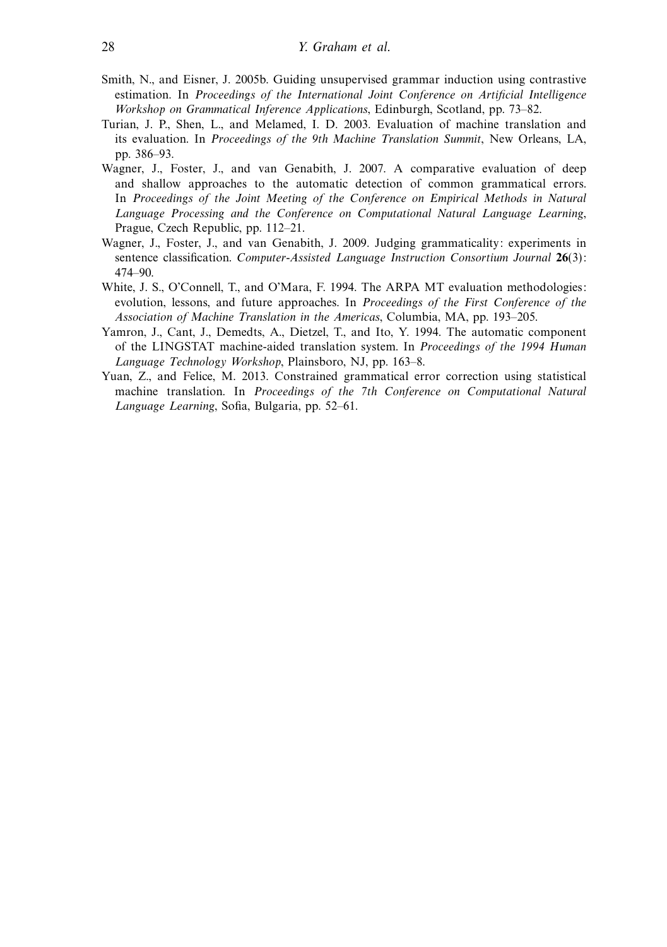- Smith, N., and Eisner, J. 2005b. Guiding unsupervised grammar induction using contrastive estimation. In Proceedings of the International Joint Conference on Artificial Intelligence Workshop on Grammatical Inference Applications, Edinburgh, Scotland, pp. 73–82.
- Turian, J. P., Shen, L., and Melamed, I. D. 2003. Evaluation of machine translation and its evaluation. In Proceedings of the 9th Machine Translation Summit, New Orleans, LA, pp. 386–93.
- Wagner, J., Foster, J., and van Genabith, J. 2007. A comparative evaluation of deep and shallow approaches to the automatic detection of common grammatical errors. In Proceedings of the Joint Meeting of the Conference on Empirical Methods in Natural Language Processing and the Conference on Computational Natural Language Learning, Prague, Czech Republic, pp. 112–21.
- Wagner, J., Foster, J., and van Genabith, J. 2009. Judging grammaticality: experiments in sentence classification. Computer-Assisted Language Instruction Consortium Journal **26**(3): 474–90.
- White, J. S., O'Connell, T., and O'Mara, F. 1994. The ARPA MT evaluation methodologies: evolution, lessons, and future approaches. In Proceedings of the First Conference of the Association of Machine Translation in the Americas, Columbia, MA, pp. 193–205.
- Yamron, J., Cant, J., Demedts, A., Dietzel, T., and Ito, Y. 1994. The automatic component of the LINGSTAT machine-aided translation system. In Proceedings of the 1994 Human Language Technology Workshop, Plainsboro, NJ, pp. 163–8.
- Yuan, Z., and Felice, M. 2013. Constrained grammatical error correction using statistical machine translation. In Proceedings of the 7th Conference on Computational Natural Language Learning, Sofia, Bulgaria, pp. 52–61.